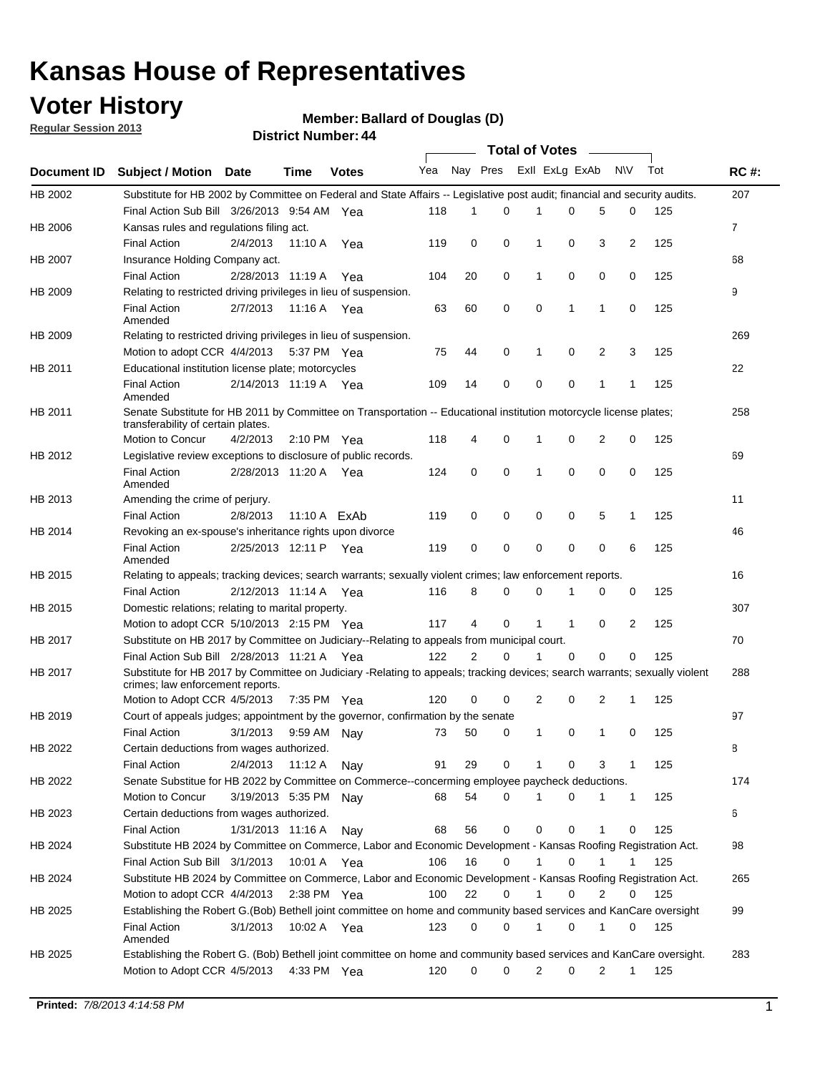### **Voter History**

**Member: Ballard of Douglas (D)** 

**Regular Session 2013**

|                    |                                                                                                                                                                |                       | ыэн кинцен <del>. т</del> |              |              |                | Total of Votes – |              |                |   |              |     |              |
|--------------------|----------------------------------------------------------------------------------------------------------------------------------------------------------------|-----------------------|---------------------------|--------------|--------------|----------------|------------------|--------------|----------------|---|--------------|-----|--------------|
| <b>Document ID</b> | <b>Subject / Motion Date</b>                                                                                                                                   |                       | <b>Time</b>               | <b>Votes</b> | Yea Nay Pres |                |                  |              | Exll ExLg ExAb |   | <b>NV</b>    | Tot | <b>RC#:</b>  |
| HB 2002            | Substitute for HB 2002 by Committee on Federal and State Affairs -- Legislative post audit; financial and security audits.                                     |                       |                           |              |              |                |                  |              |                |   |              |     | 207          |
|                    | Final Action Sub Bill 3/26/2013 9:54 AM Yea                                                                                                                    |                       |                           |              | 118          | 1              | $\Omega$         |              | 0              | 5 | 0            | 125 |              |
| HB 2006            | Kansas rules and regulations filing act.                                                                                                                       |                       |                           |              |              |                |                  |              |                |   |              |     | $\mathbf{7}$ |
|                    | <b>Final Action</b>                                                                                                                                            | 2/4/2013              | 11:10 A                   | Yea          | 119          | 0              | 0                | 1            | 0              | 3 | 2            | 125 |              |
| HB 2007            | Insurance Holding Company act.                                                                                                                                 |                       |                           |              |              |                |                  |              |                |   |              |     | 68           |
|                    | <b>Final Action</b>                                                                                                                                            | 2/28/2013 11:19 A     |                           | Yea          | 104          | 20             | 0                | 1            | 0              | 0 | 0            | 125 |              |
| HB 2009            | Relating to restricted driving privileges in lieu of suspension.                                                                                               |                       |                           |              |              |                |                  |              |                |   |              |     | 9            |
|                    | <b>Final Action</b><br>Amended                                                                                                                                 | 2/7/2013              | 11:16 A Yea               |              | 63           | 60             | 0                | 0            | 1              | 1 | 0            | 125 |              |
| HB 2009            | Relating to restricted driving privileges in lieu of suspension.                                                                                               |                       |                           |              |              |                |                  |              |                |   |              |     | 269          |
|                    | Motion to adopt CCR 4/4/2013                                                                                                                                   |                       | 5:37 PM Yea               |              | 75           | 44             | 0                | 1            | 0              | 2 | 3            | 125 |              |
| HB 2011            | Educational institution license plate; motorcycles                                                                                                             |                       |                           |              |              |                |                  |              |                |   |              |     | 22           |
|                    | <b>Final Action</b><br>Amended                                                                                                                                 | 2/14/2013 11:19 A Yea |                           |              | 109          | 14             | 0                | 0            | 0              | 1 | 1            | 125 |              |
| HB 2011            | Senate Substitute for HB 2011 by Committee on Transportation -- Educational institution motorcycle license plates;                                             |                       |                           |              |              |                |                  |              |                |   |              |     | 258          |
|                    | transferability of certain plates.                                                                                                                             |                       |                           |              |              |                |                  |              |                |   |              |     |              |
|                    | Motion to Concur                                                                                                                                               | 4/2/2013              | 2:10 PM $Yea$             |              | 118          | 4              | 0                | 1            | 0              | 2 | 0            | 125 |              |
| HB 2012            | Legislative review exceptions to disclosure of public records.                                                                                                 |                       |                           |              |              |                |                  |              |                |   |              |     | 69           |
|                    | <b>Final Action</b><br>Amended                                                                                                                                 | 2/28/2013 11:20 A Yea |                           |              | 124          | 0              | 0                | 1            | 0              | 0 | 0            | 125 |              |
| HB 2013            | Amending the crime of perjury.                                                                                                                                 |                       |                           |              |              |                |                  |              |                |   |              |     | 11           |
|                    | <b>Final Action</b>                                                                                                                                            | 2/8/2013              | 11:10 A ExAb              |              | 119          | 0              | 0                | 0            | 0              | 5 | 1            | 125 |              |
| HB 2014            | Revoking an ex-spouse's inheritance rights upon divorce                                                                                                        |                       |                           |              |              |                |                  |              |                |   |              |     | 46           |
|                    | <b>Final Action</b><br>Amended                                                                                                                                 | 2/25/2013 12:11 P Yea |                           |              | 119          | 0              | 0                | 0            | 0              | 0 | 6            | 125 |              |
| HB 2015            | Relating to appeals; tracking devices; search warrants; sexually violent crimes; law enforcement reports.                                                      |                       |                           |              |              |                |                  |              |                |   |              |     | 16           |
|                    | <b>Final Action</b>                                                                                                                                            | 2/12/2013 11:14 A     |                           | Yea          | 116          | 8              | 0                | 0            | 1              | 0 | 0            | 125 |              |
| HB 2015            | Domestic relations; relating to marital property.                                                                                                              |                       |                           |              |              |                |                  |              |                |   |              |     | 307          |
|                    | Motion to adopt CCR 5/10/2013 2:15 PM Yea                                                                                                                      |                       |                           |              | 117          | 4              | 0                | $\mathbf{1}$ | $\mathbf{1}$   | 0 | 2            | 125 |              |
| HB 2017            | Substitute on HB 2017 by Committee on Judiciary--Relating to appeals from municipal court.                                                                     |                       |                           |              |              |                |                  |              |                |   |              |     | 70           |
|                    | Final Action Sub Bill 2/28/2013 11:21 A Yea                                                                                                                    |                       |                           |              | 122          | $\overline{2}$ | 0                | 1            | 0              | 0 | 0            | 125 |              |
| HB 2017            | Substitute for HB 2017 by Committee on Judiciary -Relating to appeals; tracking devices; search warrants; sexually violent<br>crimes; law enforcement reports. |                       |                           |              |              |                |                  |              |                |   |              |     | 288          |
|                    | Motion to Adopt CCR 4/5/2013                                                                                                                                   |                       | 7:35 PM Yea               |              | 120          | 0              | 0                | 2            | 0              | 2 | 1            | 125 |              |
| HB 2019            | Court of appeals judges; appointment by the governor, confirmation by the senate                                                                               |                       |                           |              |              |                |                  |              |                |   |              |     | 97           |
|                    | <b>Final Action</b>                                                                                                                                            | 3/1/2013              | 9:59 AM Nay               |              | 73           | 50             | 0                | 1            | 0              | 1 | 0            | 125 |              |
| HB 2022            | Certain deductions from wages authorized.                                                                                                                      |                       |                           |              |              |                |                  |              |                |   |              |     | 8            |
|                    | <b>Final Action</b>                                                                                                                                            | 2/4/2013              | 11:12 A                   | Nay          | 91           | 29             | 0                |              | 0              | 3 | 1            | 125 |              |
| HB 2022            | Senate Substitue for HB 2022 by Committee on Commerce--concerming employee paycheck deductions.                                                                |                       |                           |              |              |                |                  |              |                |   |              |     | 174          |
|                    | Motion to Concur                                                                                                                                               | 3/19/2013 5:35 PM Nav |                           |              | 68           | 54             | 0                | 1            | 0              | 1 | $\mathbf{1}$ | 125 |              |
| HB 2023            | Certain deductions from wages authorized.                                                                                                                      |                       |                           |              |              |                |                  |              |                |   |              |     | 6            |
|                    | <b>Final Action</b>                                                                                                                                            | 1/31/2013 11:16 A     |                           | Nav          | 68           | 56             | 0                | 0            | 0              | 1 | 0            | 125 |              |
| HB 2024            | Substitute HB 2024 by Committee on Commerce, Labor and Economic Development - Kansas Roofing Registration Act.                                                 |                       |                           |              |              |                |                  |              |                |   |              |     | 98           |
|                    | Final Action Sub Bill 3/1/2013                                                                                                                                 |                       | 10:01 A                   | Yea          | 106          | 16             | 0                | $\mathbf{1}$ | 0              | 1 | 1            | 125 |              |
| HB 2024            | Substitute HB 2024 by Committee on Commerce, Labor and Economic Development - Kansas Roofing Registration Act.                                                 |                       |                           |              |              |                |                  |              |                |   |              |     | 265          |
|                    | Motion to adopt CCR 4/4/2013                                                                                                                                   |                       | 2:38 PM $Yea$             |              | 100          | 22             | 0                | $\mathbf{1}$ | 0              | 2 | 0            | 125 |              |
| HB 2025            | Establishing the Robert G.(Bob) Bethell joint committee on home and community based services and KanCare oversight                                             |                       |                           |              |              |                |                  |              |                |   |              |     | 99           |
|                    | <b>Final Action</b>                                                                                                                                            | 3/1/2013              | 10:02 A Yea               |              | 123          | 0              | 0                | 1            | 0              | 1 | 0            | 125 |              |
|                    | Amended                                                                                                                                                        |                       |                           |              |              |                |                  |              |                |   |              |     |              |
| HB 2025            | Establishing the Robert G. (Bob) Bethell joint committee on home and community based services and KanCare oversight.                                           |                       |                           |              |              |                |                  |              |                |   |              |     | 283          |
|                    | Motion to Adopt CCR 4/5/2013                                                                                                                                   |                       | 4:33 PM Yea               |              | 120          | 0              | 0                | 2            | 0              | 2 | $\mathbf{1}$ | 125 |              |
|                    |                                                                                                                                                                |                       |                           |              |              |                |                  |              |                |   |              |     |              |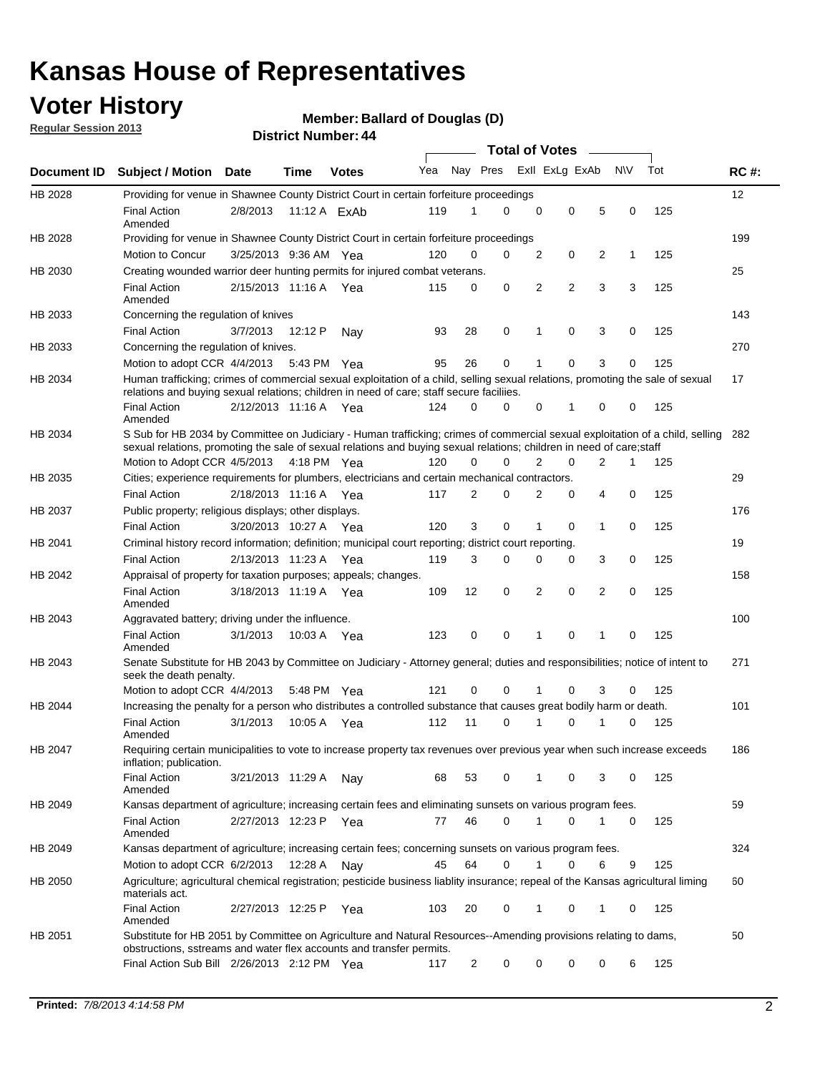### **Voter History**

**Member: Ballard of Douglas (D)** 

**Regular Session 2013**

|                    |                                                                                                                                                                                                                                                       |                       |         |              |     |                         | <b>Total of Votes</b> |                |   |                |           |     |             |
|--------------------|-------------------------------------------------------------------------------------------------------------------------------------------------------------------------------------------------------------------------------------------------------|-----------------------|---------|--------------|-----|-------------------------|-----------------------|----------------|---|----------------|-----------|-----|-------------|
| <b>Document ID</b> | <b>Subject / Motion Date</b>                                                                                                                                                                                                                          |                       | Time    | <b>Votes</b> | Yea | Nay Pres Exll ExLg ExAb |                       |                |   |                | <b>NV</b> | Tot | <b>RC#:</b> |
| HB 2028            | Providing for venue in Shawnee County District Court in certain forfeiture proceedings                                                                                                                                                                |                       |         |              |     |                         |                       |                |   |                |           |     | 12          |
|                    | <b>Final Action</b><br>Amended                                                                                                                                                                                                                        | 2/8/2013              |         | 11:12 A ExAb | 119 | 1                       | 0                     | 0              | 0 | 5              | 0         | 125 |             |
| HB 2028            | Providing for venue in Shawnee County District Court in certain forfeiture proceedings                                                                                                                                                                |                       |         |              |     |                         |                       |                |   |                |           |     | 199         |
|                    | Motion to Concur                                                                                                                                                                                                                                      | 3/25/2013 9:36 AM Yea |         |              | 120 | 0                       | 0                     | 2              | 0 | 2              | 1         | 125 |             |
| HB 2030            | Creating wounded warrior deer hunting permits for injured combat veterans.                                                                                                                                                                            |                       |         |              |     |                         |                       |                |   |                |           |     | 25          |
|                    | <b>Final Action</b><br>Amended                                                                                                                                                                                                                        | 2/15/2013 11:16 A     |         | Yea          | 115 | 0                       | 0                     | 2              | 2 | 3              | 3         | 125 |             |
| HB 2033            | Concerning the regulation of knives                                                                                                                                                                                                                   |                       |         |              |     |                         |                       |                |   |                |           |     | 143         |
|                    | <b>Final Action</b>                                                                                                                                                                                                                                   | 3/7/2013              | 12:12 P | Nav          | 93  | 28                      | 0                     | 1              | 0 | 3              | 0         | 125 |             |
| HB 2033            | Concerning the regulation of knives.                                                                                                                                                                                                                  |                       |         |              |     |                         |                       |                |   |                |           |     | 270         |
|                    | Motion to adopt CCR 4/4/2013                                                                                                                                                                                                                          |                       |         | 5:43 PM Yea  | 95  | 26                      | 0                     |                | 0 | 3              | 0         | 125 |             |
| HB 2034            | Human trafficking; crimes of commercial sexual exploitation of a child, selling sexual relations, promoting the sale of sexual<br>relations and buying sexual relations; children in need of care; staff secure faciliies.                            |                       |         |              |     |                         |                       |                |   |                |           |     | 17          |
|                    | <b>Final Action</b><br>Amended                                                                                                                                                                                                                        | 2/12/2013 11:16 A Yea |         |              | 124 | 0                       | 0                     | 0              | 1 | 0              | 0         | 125 |             |
| HB 2034            | S Sub for HB 2034 by Committee on Judiciary - Human trafficking; crimes of commercial sexual exploitation of a child, selling<br>sexual relations, promoting the sale of sexual relations and buying sexual relations; children in need of care;staff |                       |         |              |     |                         |                       |                |   |                |           |     | 282         |
|                    | Motion to Adopt CCR 4/5/2013 4:18 PM Yea                                                                                                                                                                                                              |                       |         |              | 120 | 0                       | 0                     | $\overline{2}$ | 0 | $\overline{2}$ | 1         | 125 |             |
| HB 2035            | Cities; experience requirements for plumbers, electricians and certain mechanical contractors.                                                                                                                                                        |                       |         |              |     |                         |                       |                |   |                |           |     | 29          |
|                    | <b>Final Action</b>                                                                                                                                                                                                                                   | 2/18/2013 11:16 A     |         | Yea          | 117 | 2                       | 0                     | 2              | 0 | 4              | 0         | 125 |             |
| HB 2037            | Public property; religious displays; other displays.                                                                                                                                                                                                  |                       |         |              |     |                         |                       |                |   |                |           |     | 176         |
|                    | <b>Final Action</b>                                                                                                                                                                                                                                   | 3/20/2013 10:27 A     |         | Yea          | 120 | 3                       | 0                     |                | 0 | 1              | 0         | 125 |             |
| HB 2041            | Criminal history record information; definition; municipal court reporting; district court reporting.                                                                                                                                                 |                       |         |              |     |                         |                       |                |   |                |           |     | 19          |
|                    | <b>Final Action</b>                                                                                                                                                                                                                                   | 2/13/2013 11:23 A     |         | Yea          | 119 | 3                       | 0                     | $\Omega$       | 0 | 3              | 0         | 125 |             |
| HB 2042            | Appraisal of property for taxation purposes; appeals; changes.                                                                                                                                                                                        |                       |         |              |     |                         |                       |                |   |                |           |     | 158         |
|                    | <b>Final Action</b><br>Amended                                                                                                                                                                                                                        | 3/18/2013 11:19 A Yea |         |              | 109 | 12                      | 0                     | 2              | 0 | 2              | 0         | 125 |             |
| HB 2043            | Aggravated battery; driving under the influence.                                                                                                                                                                                                      |                       |         |              |     |                         |                       |                |   |                |           |     | 100         |
|                    | <b>Final Action</b><br>Amended                                                                                                                                                                                                                        | 3/1/2013              |         | 10:03 A Yea  | 123 | 0                       | 0                     | 1              | 0 | 1              | 0         | 125 |             |
| HB 2043            | Senate Substitute for HB 2043 by Committee on Judiciary - Attorney general; duties and responsibilities; notice of intent to<br>seek the death penalty.                                                                                               |                       |         |              |     |                         |                       |                |   |                |           |     | 271         |
|                    | Motion to adopt CCR 4/4/2013                                                                                                                                                                                                                          |                       |         | 5:48 PM Yea  | 121 | 0                       | 0                     | 1              | 0 | 3              | 0         | 125 |             |
| HB 2044            | Increasing the penalty for a person who distributes a controlled substance that causes great bodily harm or death.                                                                                                                                    |                       |         |              |     |                         |                       |                |   |                |           |     | 101         |
|                    | <b>Final Action</b><br>Amended                                                                                                                                                                                                                        | 3/1/2013              | 10:05 A | Yea          | 112 | 11                      | 0                     | 1              | 0 | 1              | 0         | 125 |             |
| HB 2047            | Requiring certain municipalities to vote to increase property tax revenues over previous year when such increase exceeds<br>inflation; publication.                                                                                                   |                       |         |              |     |                         |                       |                |   |                |           |     | 186         |
|                    | <b>Final Action</b><br>Amended                                                                                                                                                                                                                        | 3/21/2013 11:29 A     |         | Nav          | 68  | 53                      | 0                     | 1              | 0 | 3              | 0         | 125 |             |
| HB 2049            | Kansas department of agriculture; increasing certain fees and eliminating sunsets on various program fees.                                                                                                                                            |                       |         |              |     |                         |                       |                |   |                |           |     | 59          |
|                    | <b>Final Action</b><br>Amended                                                                                                                                                                                                                        | 2/27/2013 12:23 P     |         | Yea          | 77  | 46                      | 0                     | 1              | 0 |                | 0         | 125 |             |
| HB 2049            | Kansas department of agriculture; increasing certain fees; concerning sunsets on various program fees.                                                                                                                                                |                       |         |              |     |                         |                       |                |   |                |           |     | 324         |
|                    | Motion to adopt CCR 6/2/2013                                                                                                                                                                                                                          |                       | 12:28 A | Nav          | 45  | 64                      | 0                     | 1              | 0 | 6              | 9         | 125 |             |
| HB 2050            | Agriculture; agricultural chemical registration; pesticide business liablity insurance; repeal of the Kansas agricultural liming<br>materials act.                                                                                                    |                       |         |              |     |                         |                       |                |   |                |           |     | 60          |
|                    | <b>Final Action</b><br>Amended                                                                                                                                                                                                                        | 2/27/2013 12:25 P     |         | Yea          | 103 | 20                      | 0                     |                | 0 | 1              | 0         | 125 |             |
| HB 2051            | Substitute for HB 2051 by Committee on Agriculture and Natural Resources--Amending provisions relating to dams,<br>obstructions, sstreams and water flex accounts and transfer permits.                                                               |                       |         |              |     |                         |                       |                |   |                |           |     | 50          |
|                    | Final Action Sub Bill 2/26/2013 2:12 PM Yea                                                                                                                                                                                                           |                       |         |              | 117 | $\overline{c}$          | 0                     | 0              | 0 | 0              | 6         | 125 |             |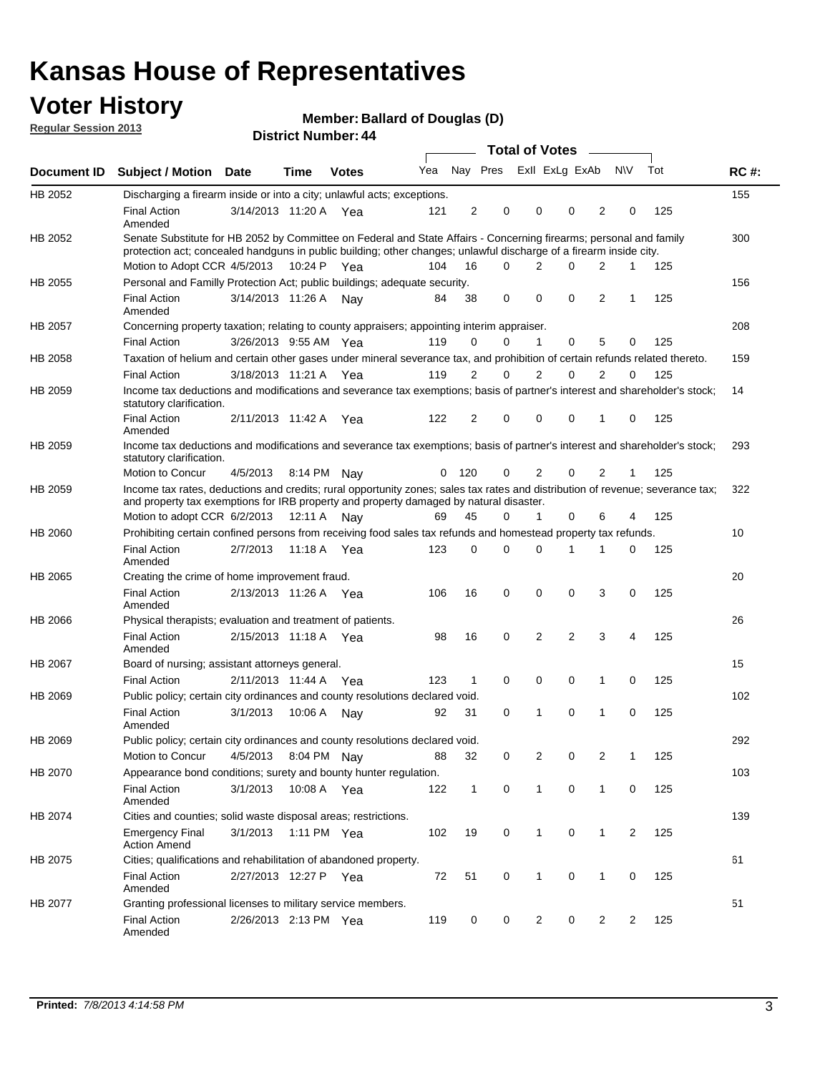### **Voter History**

**Member: Ballard of Douglas (D)** 

**Regular Session 2013**

|                |                                                                                                                                                                                                                                          |                       |         |              |     |              |                         | <b>Total of Votes</b> |                |             | $\overline{\phantom{0}}$ |              |     |             |
|----------------|------------------------------------------------------------------------------------------------------------------------------------------------------------------------------------------------------------------------------------------|-----------------------|---------|--------------|-----|--------------|-------------------------|-----------------------|----------------|-------------|--------------------------|--------------|-----|-------------|
| Document ID    | <b>Subject / Motion</b>                                                                                                                                                                                                                  | Date                  | Time    | <b>Votes</b> | Yea |              | Nay Pres Exll ExLg ExAb |                       |                |             |                          | N\V          | Tot | <b>RC#:</b> |
| HB 2052        | Discharging a firearm inside or into a city; unlawful acts; exceptions.                                                                                                                                                                  |                       |         |              |     |              |                         |                       |                |             |                          |              |     | 155         |
|                | <b>Final Action</b><br>Amended                                                                                                                                                                                                           | 3/14/2013 11:20 A Yea |         |              | 121 | 2            | 0                       |                       | 0              | 0           | $\overline{2}$           | 0            | 125 |             |
| HB 2052        | Senate Substitute for HB 2052 by Committee on Federal and State Affairs - Concerning firearms; personal and family<br>protection act; concealed handguns in public building; other changes; unlawful discharge of a firearm inside city. |                       |         |              |     |              |                         |                       |                |             |                          |              |     | 300         |
|                | Motion to Adopt CCR 4/5/2013 10:24 P Yea                                                                                                                                                                                                 |                       |         |              | 104 | 16           | 0                       |                       | $\overline{2}$ | 0           | $\overline{2}$           | $\mathbf{1}$ | 125 |             |
| <b>HB 2055</b> | Personal and Familly Protection Act; public buildings; adequate security.                                                                                                                                                                |                       |         |              |     |              |                         |                       |                |             |                          |              |     | 156         |
|                | <b>Final Action</b><br>Amended                                                                                                                                                                                                           | 3/14/2013 11:26 A     |         | Nay          | 84  | 38           | 0                       |                       | 0              | $\mathbf 0$ | 2                        | 1            | 125 |             |
| HB 2057        | Concerning property taxation; relating to county appraisers; appointing interim appraiser.                                                                                                                                               |                       |         |              |     |              |                         |                       |                |             |                          |              |     | 208         |
|                | <b>Final Action</b>                                                                                                                                                                                                                      | 3/26/2013 9:55 AM Yea |         |              | 119 | 0            | 0                       |                       | $\mathbf{1}$   | $\mathbf 0$ | 5                        | 0            | 125 |             |
| HB 2058        | Taxation of helium and certain other gases under mineral severance tax, and prohibition of certain refunds related thereto.                                                                                                              |                       |         |              |     |              |                         |                       |                |             |                          |              |     | 159         |
|                | <b>Final Action</b>                                                                                                                                                                                                                      | 3/18/2013 11:21 A Yea |         |              | 119 | 2            | 0                       |                       | 2              | $\Omega$    | $\overline{2}$           | 0            | 125 |             |
| HB 2059        | Income tax deductions and modifications and severance tax exemptions; basis of partner's interest and shareholder's stock;<br>statutory clarification.                                                                                   |                       |         |              |     |              |                         |                       |                |             |                          |              |     | 14          |
|                | <b>Final Action</b><br>Amended                                                                                                                                                                                                           | 2/11/2013 11:42 A Yea |         |              | 122 | 2            | 0                       |                       | 0              | 0           | 1                        | 0            | 125 |             |
| HB 2059        | Income tax deductions and modifications and severance tax exemptions; basis of partner's interest and shareholder's stock;<br>statutory clarification.                                                                                   |                       |         |              |     |              |                         |                       |                |             |                          |              |     | 293         |
|                | Motion to Concur                                                                                                                                                                                                                         | 4/5/2013              |         | 8:14 PM Nav  | 0   | 120          | 0                       |                       | $\overline{2}$ | 0           | $\overline{2}$           | 1            | 125 |             |
| HB 2059        | Income tax rates, deductions and credits; rural opportunity zones; sales tax rates and distribution of revenue; severance tax;<br>and property tax exemptions for IRB property and property damaged by natural disaster.                 |                       |         |              |     |              |                         |                       |                |             |                          |              |     | 322         |
|                | Motion to adopt CCR 6/2/2013                                                                                                                                                                                                             |                       | 12:11 A | Nav          | 69  | 45           | 0                       |                       | 1              | 0           | 6                        | 4            | 125 |             |
| HB 2060        | Prohibiting certain confined persons from receiving food sales tax refunds and homestead property tax refunds.                                                                                                                           |                       |         |              |     |              |                         |                       |                |             |                          |              |     | 10          |
|                | <b>Final Action</b><br>Amended                                                                                                                                                                                                           | 2/7/2013              | 11:18 A | Yea          | 123 | 0            | 0                       |                       | $\Omega$       | 1           | 1                        | 0            | 125 |             |
| HB 2065        | Creating the crime of home improvement fraud.                                                                                                                                                                                            |                       |         |              |     |              |                         |                       |                |             |                          |              |     | 20          |
|                | <b>Final Action</b><br>Amended                                                                                                                                                                                                           | 2/13/2013 11:26 A Yea |         |              | 106 | 16           | 0                       |                       | 0              | 0           | 3                        | 0            | 125 |             |
| HB 2066        | Physical therapists; evaluation and treatment of patients.                                                                                                                                                                               |                       |         |              |     |              |                         |                       |                |             |                          |              |     | 26          |
|                | <b>Final Action</b><br>Amended                                                                                                                                                                                                           | 2/15/2013 11:18 A Yea |         |              | 98  | 16           | 0                       |                       | $\overline{2}$ | 2           | 3                        | 4            | 125 |             |
| HB 2067        | Board of nursing; assistant attorneys general.                                                                                                                                                                                           |                       |         |              |     |              |                         |                       |                |             |                          |              |     | 15          |
|                | <b>Final Action</b>                                                                                                                                                                                                                      | 2/11/2013 11:44 A     |         | Yea          | 123 | $\mathbf{1}$ | 0                       |                       | 0              | 0           | 1                        | 0            | 125 |             |
| HB 2069        | Public policy; certain city ordinances and county resolutions declared void.                                                                                                                                                             |                       |         |              |     |              |                         |                       |                |             |                          |              |     | 102         |
|                | <b>Final Action</b><br>Amended                                                                                                                                                                                                           | 3/1/2013              | 10:06 A | Nav          | 92  | 31           | 0                       |                       |                | 0           | 1                        | 0            | 125 |             |
| HB 2069        | Public policy; certain city ordinances and county resolutions declared void.                                                                                                                                                             |                       |         |              |     |              |                         |                       |                |             |                          |              |     | 292         |
|                | Motion to Concur                                                                                                                                                                                                                         | 4/5/2013              |         | 8:04 PM Nay  | 88  | 32           | 0                       |                       | 2              | 0           | 2                        | 1            | 125 |             |
| HB 2070        | Appearance bond conditions; surety and bounty hunter regulation.                                                                                                                                                                         |                       |         |              |     |              |                         |                       |                |             |                          |              |     | 103         |
|                | <b>Final Action</b><br>Amended                                                                                                                                                                                                           | 3/1/2013              |         | 10:08 A Yea  | 122 | $\mathbf{1}$ | 0                       |                       | 1              | 0           | $\mathbf{1}$             | 0            | 125 |             |
| HB 2074        | Cities and counties; solid waste disposal areas; restrictions.                                                                                                                                                                           |                       |         |              |     |              |                         |                       |                |             |                          |              |     | 139         |
|                | <b>Emergency Final</b><br><b>Action Amend</b>                                                                                                                                                                                            | 3/1/2013              |         | 1:11 PM Yea  | 102 | 19           | 0                       |                       | 1              | 0           | 1                        | 2            | 125 |             |
| HB 2075        | Cities; qualifications and rehabilitation of abandoned property.                                                                                                                                                                         |                       |         |              |     |              |                         |                       |                |             |                          |              |     | 61          |
|                | <b>Final Action</b><br>Amended                                                                                                                                                                                                           | 2/27/2013 12:27 P     |         | Yea          | 72  | 51           | 0                       |                       | 1              | 0           | 1                        | 0            | 125 |             |
| HB 2077        | Granting professional licenses to military service members.<br><b>Final Action</b><br>Amended                                                                                                                                            | 2/26/2013 2:13 PM Yea |         |              | 119 | 0            | 0                       |                       | $\overline{c}$ | 0           | $\overline{2}$           | 2            | 125 | 51          |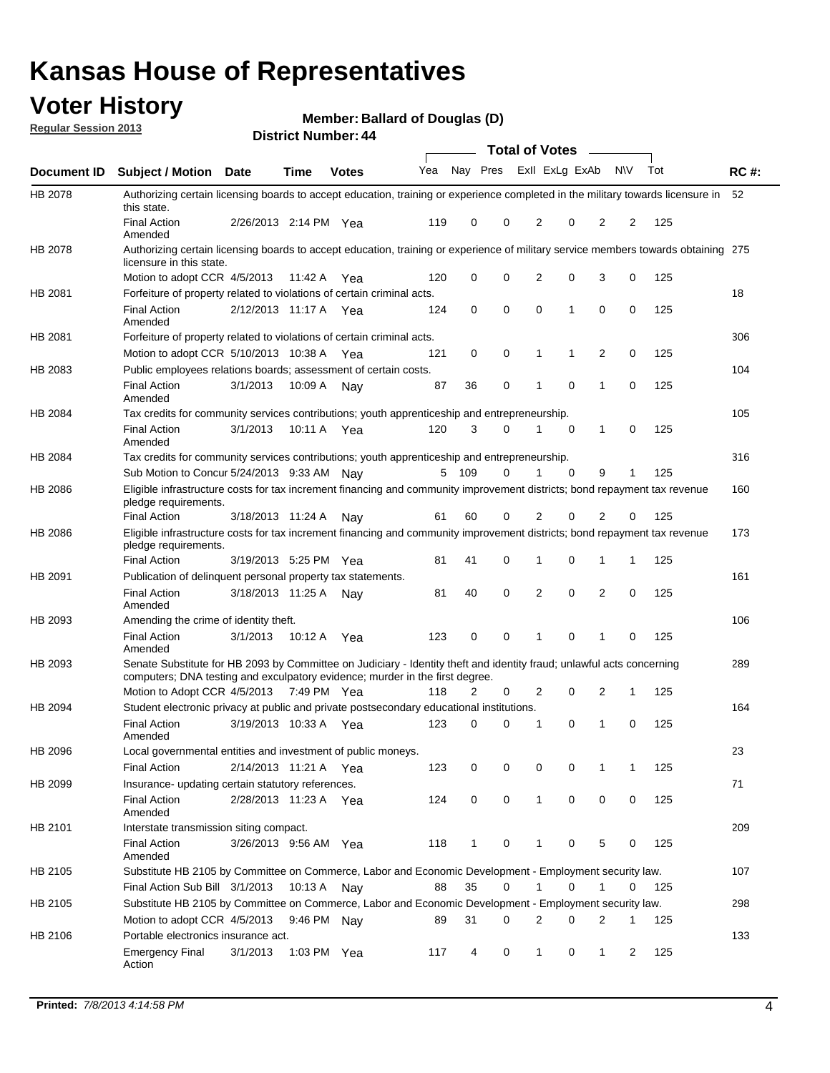### **Voter History**

**Member: Ballard of Douglas (D)** 

**Regular Session 2013**

|             |                                                                                                                                                                                                       |                       | י וסטוווטר וזעוווטכו |              |     |              |             | <b>Total of Votes</b> |             | $\sim$         |           |     |             |
|-------------|-------------------------------------------------------------------------------------------------------------------------------------------------------------------------------------------------------|-----------------------|----------------------|--------------|-----|--------------|-------------|-----------------------|-------------|----------------|-----------|-----|-------------|
| Document ID | <b>Subject / Motion Date</b>                                                                                                                                                                          |                       | <b>Time</b>          | <b>Votes</b> | Yea | Nay Pres     |             | Exll ExLg ExAb        |             |                | <b>NV</b> | Tot | <b>RC#:</b> |
| HB 2078     | Authorizing certain licensing boards to accept education, training or experience completed in the military towards licensure in<br>this state.                                                        |                       |                      |              |     |              |             |                       |             |                |           |     | 52          |
|             | <b>Final Action</b><br>Amended                                                                                                                                                                        | 2/26/2013 2:14 PM Yea |                      |              | 119 | 0            | 0           | 2                     | 0           | $\overline{2}$ | 2         | 125 |             |
| HB 2078     | Authorizing certain licensing boards to accept education, training or experience of military service members towards obtaining 275<br>licensure in this state.                                        |                       |                      |              |     |              |             |                       |             |                |           |     |             |
|             | Motion to adopt CCR 4/5/2013                                                                                                                                                                          |                       | 11:42 A              | Yea          | 120 | 0            | $\mathbf 0$ | $\overline{2}$        | 0           | 3              | 0         | 125 |             |
| HB 2081     | Forfeiture of property related to violations of certain criminal acts.                                                                                                                                |                       |                      |              |     |              |             |                       |             |                |           |     | 18          |
|             | <b>Final Action</b><br>Amended                                                                                                                                                                        | 2/12/2013 11:17 A Yea |                      |              | 124 | 0            | 0           | $\Omega$              | 1           | 0              | 0         | 125 |             |
| HB 2081     | Forfeiture of property related to violations of certain criminal acts.                                                                                                                                |                       |                      |              |     |              |             |                       |             |                |           |     | 306         |
|             | Motion to adopt CCR 5/10/2013 10:38 A                                                                                                                                                                 |                       |                      | Yea          | 121 | 0            | 0           | 1                     | 1           | 2              | 0         | 125 |             |
| HB 2083     | Public employees relations boards; assessment of certain costs.                                                                                                                                       |                       |                      |              |     |              |             |                       |             |                |           |     | 104         |
|             | <b>Final Action</b><br>Amended                                                                                                                                                                        | 3/1/2013              | 10:09 A              | Nay          | 87  | 36           | 0           | 1                     | 0           | 1              | 0         | 125 |             |
| HB 2084     | Tax credits for community services contributions; youth apprenticeship and entrepreneurship.                                                                                                          |                       |                      |              |     |              |             |                       |             |                |           |     | 105         |
|             | <b>Final Action</b><br>Amended                                                                                                                                                                        | 3/1/2013              | 10:11 A              | Yea          | 120 | 3            | $\Omega$    |                       | $\mathbf 0$ | $\mathbf{1}$   | 0         | 125 |             |
| HB 2084     | Tax credits for community services contributions; youth apprenticeship and entrepreneurship.                                                                                                          |                       |                      |              |     |              |             |                       |             |                |           |     | 316         |
|             | Sub Motion to Concur 5/24/2013 9:33 AM Nav                                                                                                                                                            |                       |                      |              | 5   | - 109        | $\Omega$    | 1                     | $\Omega$    | 9              | 1         | 125 |             |
| HB 2086     | Eligible infrastructure costs for tax increment financing and community improvement districts; bond repayment tax revenue<br>pledge requirements.                                                     |                       |                      |              |     |              |             |                       |             |                |           |     | 160         |
|             | <b>Final Action</b>                                                                                                                                                                                   | 3/18/2013 11:24 A     |                      | Nay          | 61  | 60           | 0           | 2                     | 0           | 2              | 0         | 125 |             |
| HB 2086     | Eligible infrastructure costs for tax increment financing and community improvement districts; bond repayment tax revenue<br>pledge requirements.                                                     |                       |                      |              |     |              |             |                       |             |                |           |     | 173         |
|             | <b>Final Action</b>                                                                                                                                                                                   | 3/19/2013 5:25 PM     |                      | Yea          | 81  | 41           | 0           | 1                     | 0           | 1              | 1         | 125 |             |
| HB 2091     | Publication of delinquent personal property tax statements.                                                                                                                                           |                       |                      |              |     |              |             |                       |             |                |           |     | 161         |
|             | <b>Final Action</b><br>Amended                                                                                                                                                                        | 3/18/2013 11:25 A     |                      | Nav          | 81  | 40           | 0           | 2                     | 0           | $\overline{2}$ | 0         | 125 |             |
| HB 2093     | Amending the crime of identity theft.                                                                                                                                                                 |                       |                      |              |     |              |             |                       |             |                |           |     | 106         |
|             | <b>Final Action</b><br>Amended                                                                                                                                                                        | 3/1/2013              | 10:12 A              | Yea          | 123 | 0            | $\Omega$    | 1                     | 0           | 1              | 0         | 125 |             |
| HB 2093     | Senate Substitute for HB 2093 by Committee on Judiciary - Identity theft and identity fraud; unlawful acts concerning<br>computers; DNA testing and exculpatory evidence; murder in the first degree. |                       |                      |              |     |              |             |                       |             |                |           |     | 289         |
|             | Motion to Adopt CCR 4/5/2013 7:49 PM Yea                                                                                                                                                              |                       |                      |              | 118 | 2            | 0           | 2                     | 0           | 2              | 1         | 125 |             |
| HB 2094     | Student electronic privacy at public and private postsecondary educational institutions.                                                                                                              |                       |                      |              |     |              |             |                       |             |                |           |     | 164         |
|             | <b>Final Action</b><br>Amended                                                                                                                                                                        | 3/19/2013 10:33 A     |                      | Yea          | 123 | 0            | 0           | 1                     | 0           | 1              | 0         | 125 |             |
| HB 2096     | Local governmental entities and investment of public moneys.                                                                                                                                          |                       |                      |              |     |              |             |                       |             |                |           |     | 23          |
|             | <b>Final Action</b>                                                                                                                                                                                   | 2/14/2013 11:21 A     |                      | Yea          | 123 | 0            | 0           | 0                     | 0           | 1              | 1         | 125 |             |
| HB 2099     | Insurance- updating certain statutory references.                                                                                                                                                     |                       |                      |              |     |              |             |                       |             |                |           |     | 71          |
|             | <b>Final Action</b><br>Amended                                                                                                                                                                        | 2/28/2013 11:23 A     |                      | Yea          | 124 | 0            | 0           | 1                     | 0           | 0              | 0         | 125 |             |
| HB 2101     | Interstate transmission siting compact.                                                                                                                                                               |                       |                      |              |     |              |             |                       |             |                |           |     | 209         |
|             | <b>Final Action</b><br>Amended                                                                                                                                                                        | 3/26/2013 9:56 AM Yea |                      |              | 118 | $\mathbf{1}$ | 0           | 1                     | 0           | 5              | 0         | 125 |             |
| HB 2105     | Substitute HB 2105 by Committee on Commerce, Labor and Economic Development - Employment security law.                                                                                                |                       |                      |              |     |              |             |                       |             |                |           |     | 107         |
|             | Final Action Sub Bill 3/1/2013                                                                                                                                                                        |                       | 10:13 A Nay          |              | 88  | 35           | 0           |                       | 0           | 1              | 0         | 125 |             |
| HB 2105     | Substitute HB 2105 by Committee on Commerce, Labor and Economic Development - Employment security law.                                                                                                |                       |                      |              |     |              |             |                       |             |                |           |     | 298         |
|             | Motion to adopt CCR 4/5/2013                                                                                                                                                                          |                       | 9:46 PM Nay          |              | 89  | 31           | 0           | 2                     | 0           | 2              | 1         | 125 |             |
| HB 2106     | Portable electronics insurance act.                                                                                                                                                                   |                       |                      |              |     |              |             |                       |             |                |           |     | 133         |
|             | <b>Emergency Final</b><br>Action                                                                                                                                                                      | 3/1/2013              | 1:03 PM Yea          |              | 117 | 4            | 0           | $\mathbf{1}$          | 0           | $\mathbf{1}$   | 2         | 125 |             |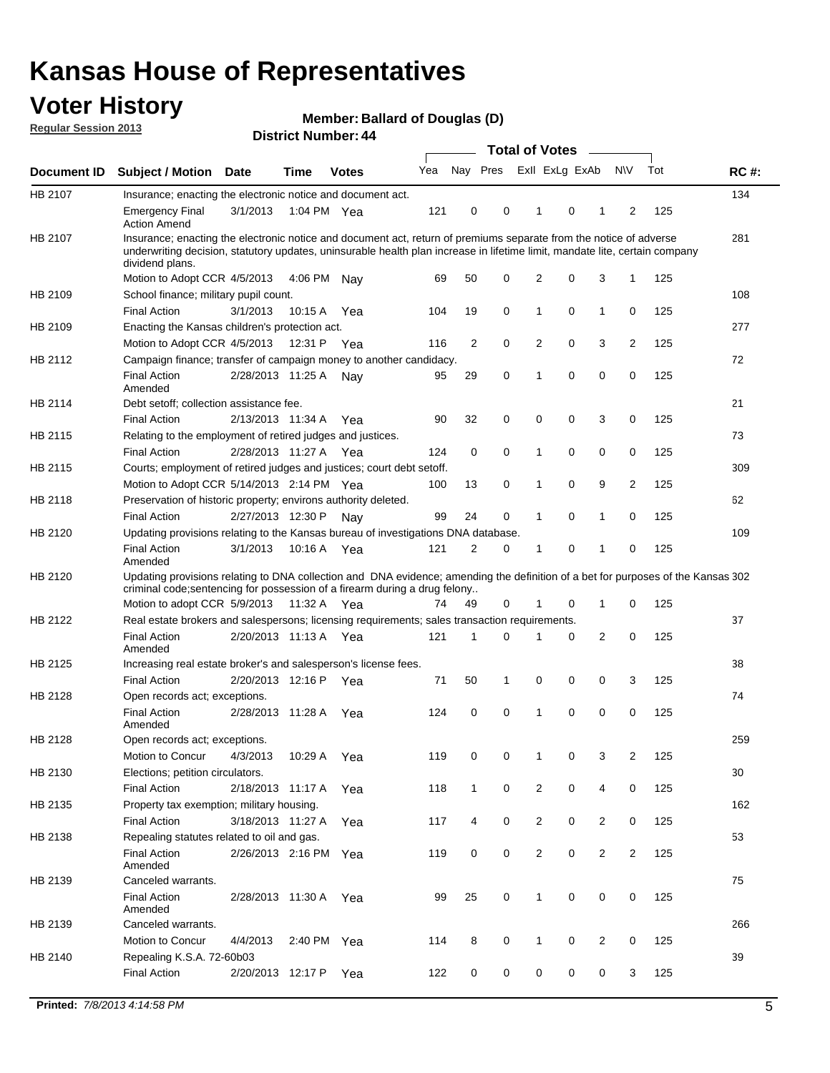### **Voter History**

**Member: Ballard of Douglas (D)** 

**Regular Session 2013**

|             |                                                                                                                                                                                                                                                                      |                       | י וסעוווטנו ועוווסו |              |     |                |             | <b>Total of Votes</b> |   | $\sim$         |                |     |             |
|-------------|----------------------------------------------------------------------------------------------------------------------------------------------------------------------------------------------------------------------------------------------------------------------|-----------------------|---------------------|--------------|-----|----------------|-------------|-----------------------|---|----------------|----------------|-----|-------------|
| Document ID | <b>Subject / Motion Date</b>                                                                                                                                                                                                                                         |                       | <b>Time</b>         | <b>Votes</b> | Yea | Nay Pres       |             | Exll ExLg ExAb        |   |                | <b>NV</b>      | Tot | <b>RC#:</b> |
| HB 2107     | Insurance; enacting the electronic notice and document act.                                                                                                                                                                                                          |                       |                     |              |     |                |             |                       |   |                |                |     | 134         |
|             | <b>Emergency Final</b><br><b>Action Amend</b>                                                                                                                                                                                                                        | 3/1/2013              | 1:04 PM Yea         |              | 121 | 0              | 0           | 1                     | 0 | 1              | 2              | 125 |             |
| HB 2107     | Insurance; enacting the electronic notice and document act, return of premiums separate from the notice of adverse<br>underwriting decision, statutory updates, uninsurable health plan increase in lifetime limit, mandate lite, certain company<br>dividend plans. |                       |                     |              |     |                |             |                       |   |                |                |     | 281         |
|             | Motion to Adopt CCR 4/5/2013                                                                                                                                                                                                                                         |                       | 4:06 PM             | Nav          | 69  | 50             | 0           | 2                     | 0 | 3              | $\mathbf{1}$   | 125 |             |
| HB 2109     | School finance; military pupil count.                                                                                                                                                                                                                                |                       |                     |              |     |                |             |                       |   |                |                |     | 108         |
|             | <b>Final Action</b>                                                                                                                                                                                                                                                  | 3/1/2013              | 10:15A              | Yea          | 104 | 19             | 0           | 1                     | 0 | $\mathbf{1}$   | 0              | 125 |             |
| HB 2109     | Enacting the Kansas children's protection act.                                                                                                                                                                                                                       |                       |                     |              |     |                |             |                       |   |                |                |     | 277         |
|             | Motion to Adopt CCR 4/5/2013                                                                                                                                                                                                                                         |                       | 12:31 P             | Yea          | 116 | $\overline{2}$ | 0           | 2                     | 0 | 3              | $\overline{2}$ | 125 |             |
| HB 2112     | Campaign finance; transfer of campaign money to another candidacy.                                                                                                                                                                                                   |                       |                     |              |     |                |             |                       |   |                |                |     | 72          |
|             | <b>Final Action</b><br>Amended                                                                                                                                                                                                                                       | 2/28/2013 11:25 A     |                     | Nay          | 95  | 29             | 0           | 1                     | 0 | 0              | 0              | 125 |             |
| HB 2114     | Debt setoff; collection assistance fee.                                                                                                                                                                                                                              |                       |                     |              |     |                |             |                       |   |                |                |     | 21          |
|             | <b>Final Action</b>                                                                                                                                                                                                                                                  | 2/13/2013 11:34 A     |                     | Yea          | 90  | 32             | 0           | 0                     | 0 | 3              | 0              | 125 |             |
| HB 2115     | Relating to the employment of retired judges and justices.                                                                                                                                                                                                           |                       |                     |              |     |                |             |                       |   |                |                |     | 73          |
|             | <b>Final Action</b>                                                                                                                                                                                                                                                  | 2/28/2013 11:27 A     |                     | Yea          | 124 | 0              | $\mathbf 0$ | 1                     | 0 | 0              | 0              | 125 |             |
| HB 2115     | Courts; employment of retired judges and justices; court debt setoff.                                                                                                                                                                                                |                       |                     |              |     |                |             |                       |   |                |                |     | 309         |
|             | Motion to Adopt CCR 5/14/2013 2:14 PM Yea                                                                                                                                                                                                                            |                       |                     |              | 100 | 13             | 0           | 1                     | 0 | 9              | $\overline{2}$ | 125 |             |
| HB 2118     | Preservation of historic property; environs authority deleted.                                                                                                                                                                                                       |                       |                     |              |     |                |             |                       |   |                |                |     | 62          |
|             | <b>Final Action</b>                                                                                                                                                                                                                                                  | 2/27/2013 12:30 P     |                     | Nay          | 99  | 24             | 0           | 1                     | 0 | $\mathbf{1}$   | 0              | 125 |             |
| HB 2120     | Updating provisions relating to the Kansas bureau of investigations DNA database.                                                                                                                                                                                    |                       |                     |              |     |                |             |                       |   |                |                |     | 109         |
|             | <b>Final Action</b><br>Amended                                                                                                                                                                                                                                       | 3/1/2013              | 10:16 A             | Yea          | 121 | 2              | 0           | 1                     | 0 | 1              | 0              | 125 |             |
| HB 2120     | Updating provisions relating to DNA collection and DNA evidence; amending the definition of a bet for purposes of the Kansas 302<br>criminal code; sentencing for possession of a firearm during a drug felony<br>Motion to adopt CCR 5/9/2013                       |                       | 11:32 A Yea         |              | 74  | 49             | 0           |                       | 0 | 1              | 0              | 125 |             |
| HB 2122     | Real estate brokers and salespersons; licensing requirements; sales transaction requirements.                                                                                                                                                                        |                       |                     |              |     |                |             |                       |   |                |                |     | 37          |
|             | <b>Final Action</b><br>Amended                                                                                                                                                                                                                                       | 2/20/2013 11:13 A Yea |                     |              | 121 | 1              | $\Omega$    |                       | 0 | 2              | 0              | 125 |             |
| HB 2125     | Increasing real estate broker's and salesperson's license fees.                                                                                                                                                                                                      |                       |                     |              |     |                |             |                       |   |                |                |     | 38          |
|             | <b>Final Action</b>                                                                                                                                                                                                                                                  | 2/20/2013 12:16 P     |                     | Yea          | 71  | 50             | 1           | 0                     | 0 | 0              | 3              | 125 |             |
| HB 2128     | Open records act; exceptions.                                                                                                                                                                                                                                        |                       |                     |              |     |                |             |                       |   |                |                |     | 74          |
|             | <b>Final Action</b><br>Amended                                                                                                                                                                                                                                       | 2/28/2013 11:28 A     |                     | Yea          | 124 | 0              | 0           | 1                     | 0 | 0              | 0              | 125 |             |
| HB 2128     | Open records act; exceptions.                                                                                                                                                                                                                                        |                       |                     |              |     |                |             |                       |   |                |                |     | 259         |
|             | Motion to Concur                                                                                                                                                                                                                                                     | 4/3/2013              | 10:29 A             | Yea          | 119 | 0              | 0           | 1                     | 0 | 3              | $\overline{2}$ | 125 |             |
| HB 2130     | Elections; petition circulators.                                                                                                                                                                                                                                     |                       |                     |              |     |                |             |                       |   |                |                |     | 30          |
|             | <b>Final Action</b>                                                                                                                                                                                                                                                  | 2/18/2013 11:17 A     |                     | Yea          | 118 | $\mathbf{1}$   | 0           | $\overline{c}$        | 0 | 4              | 0              | 125 |             |
| HB 2135     | Property tax exemption; military housing.                                                                                                                                                                                                                            |                       |                     |              |     |                |             |                       |   |                |                |     | 162         |
|             | <b>Final Action</b>                                                                                                                                                                                                                                                  | 3/18/2013 11:27 A     |                     | Yea          | 117 | 4              | 0           | $\overline{c}$        | 0 | $\overline{2}$ | 0              | 125 |             |
| HB 2138     | Repealing statutes related to oil and gas.                                                                                                                                                                                                                           |                       |                     |              |     |                |             |                       |   |                |                |     | 53          |
|             | <b>Final Action</b><br>Amended                                                                                                                                                                                                                                       | 2/26/2013 2:16 PM Yea |                     |              | 119 | 0              | 0           | 2                     | 0 | $\overline{2}$ | $\overline{2}$ | 125 |             |
| HB 2139     | Canceled warrants.                                                                                                                                                                                                                                                   |                       |                     |              |     |                |             |                       |   |                |                |     | 75          |
|             | <b>Final Action</b><br>Amended                                                                                                                                                                                                                                       | 2/28/2013 11:30 A     |                     | Yea          | 99  | 25             | 0           | 1                     | 0 | 0              | 0              | 125 |             |
| HB 2139     | Canceled warrants.                                                                                                                                                                                                                                                   |                       |                     |              |     |                |             |                       |   |                |                |     | 266         |
|             | Motion to Concur                                                                                                                                                                                                                                                     | 4/4/2013              | 2:40 PM             | Yea          | 114 | 8              | 0           | 1                     | 0 | 2              | 0              | 125 |             |
| HB 2140     | Repealing K.S.A. 72-60b03                                                                                                                                                                                                                                            |                       |                     |              |     |                |             |                       |   |                |                |     | 39          |
|             | <b>Final Action</b>                                                                                                                                                                                                                                                  | 2/20/2013 12:17 P     |                     | Yea          | 122 | 0              | 0           | 0                     | 0 | 0              | 3              | 125 |             |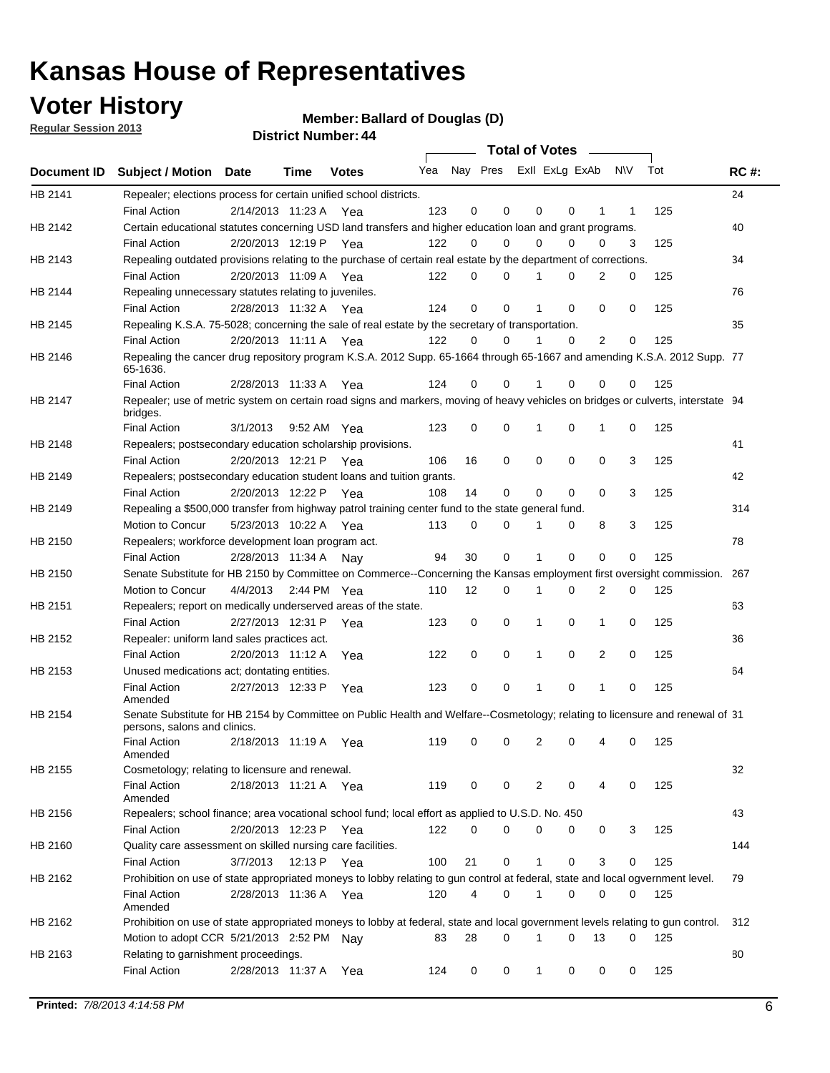### **Voter History**

**Member: Ballard of Douglas (D)** 

**Regular Session 2013**

|             |                                                                                                                                              |                       |                       |              |     |    | <b>Total of Votes</b>   |              |          | $\sim$         |     |     |             |
|-------------|----------------------------------------------------------------------------------------------------------------------------------------------|-----------------------|-----------------------|--------------|-----|----|-------------------------|--------------|----------|----------------|-----|-----|-------------|
| Document ID | <b>Subject / Motion Date</b>                                                                                                                 |                       | Time                  | <b>Votes</b> | Yea |    | Nay Pres Exll ExLg ExAb |              |          |                | N\V | Tot | <b>RC#:</b> |
| HB 2141     | Repealer; elections process for certain unified school districts.                                                                            |                       |                       |              |     |    |                         |              |          |                |     |     | 24          |
|             | <b>Final Action</b>                                                                                                                          | 2/14/2013 11:23 A     |                       | Yea          | 123 | 0  | 0                       | 0            | 0        | 1              | 1   | 125 |             |
| HB 2142     | Certain educational statutes concerning USD land transfers and higher education loan and grant programs.                                     |                       |                       |              |     |    |                         |              |          |                |     |     | 40          |
|             | <b>Final Action</b>                                                                                                                          | 2/20/2013 12:19 P Yea |                       |              | 122 | 0  | 0                       | 0            | 0        | 0              | 3   | 125 |             |
| HB 2143     | Repealing outdated provisions relating to the purchase of certain real estate by the department of corrections.                              |                       |                       |              |     |    |                         |              |          |                |     |     | 34          |
|             | <b>Final Action</b>                                                                                                                          | 2/20/2013 11:09 A Yea |                       |              | 122 | 0  | $\Omega$                | 1            | 0        | 2              | 0   | 125 |             |
| HB 2144     | Repealing unnecessary statutes relating to juveniles.                                                                                        |                       |                       |              |     |    |                         |              |          |                |     |     | 76          |
|             | <b>Final Action</b>                                                                                                                          | 2/28/2013 11:32 A Yea |                       |              | 124 | 0  | 0                       | 1            | 0        | 0              | 0   | 125 |             |
| HB 2145     | Repealing K.S.A. 75-5028; concerning the sale of real estate by the secretary of transportation.                                             |                       |                       |              |     |    |                         |              |          |                |     |     | 35          |
|             | <b>Final Action</b>                                                                                                                          | 2/20/2013 11:11 A Yea |                       |              | 122 | 0  | 0                       | 1            | 0        | $\overline{2}$ | 0   | 125 |             |
| HB 2146     | Repealing the cancer drug repository program K.S.A. 2012 Supp. 65-1664 through 65-1667 and amending K.S.A. 2012 Supp. 77<br>65-1636.         |                       |                       |              |     |    |                         |              |          |                |     |     |             |
|             | <b>Final Action</b>                                                                                                                          | 2/28/2013 11:33 A     |                       | Yea          | 124 | 0  | 0                       |              | 0        | 0              | 0   | 125 |             |
| HB 2147     | Repealer; use of metric system on certain road signs and markers, moving of heavy vehicles on bridges or culverts, interstate 94<br>bridges. |                       |                       |              |     |    |                         |              |          |                |     |     |             |
|             | <b>Final Action</b>                                                                                                                          | 3/1/2013              |                       | 9:52 AM Yea  | 123 | 0  | 0                       | 1            | 0        | 1              | 0   | 125 |             |
| HB 2148     | Repealers; postsecondary education scholarship provisions.                                                                                   |                       |                       |              |     |    |                         |              |          |                |     |     | 41          |
|             | <b>Final Action</b>                                                                                                                          | 2/20/2013 12:21 P Yea |                       |              | 106 | 16 | 0                       | 0            | 0        | 0              | 3   | 125 |             |
| HB 2149     | Repealers; postsecondary education student loans and tuition grants.                                                                         |                       |                       |              |     |    |                         |              |          |                |     |     | 42          |
|             | <b>Final Action</b>                                                                                                                          | 2/20/2013 12:22 P     |                       | Yea          | 108 | 14 | 0                       | 0            | $\Omega$ | 0              | 3   | 125 |             |
| HB 2149     | Repealing a \$500,000 transfer from highway patrol training center fund to the state general fund.                                           |                       |                       |              |     |    |                         |              |          |                |     |     | 314         |
|             | Motion to Concur                                                                                                                             |                       | 5/23/2013 10:22 A Yea |              | 113 | 0  | 0                       |              | 0        | 8              | 3   | 125 |             |
| HB 2150     | Repealers; workforce development loan program act.                                                                                           |                       |                       |              |     |    |                         |              |          |                |     |     | 78          |
|             | <b>Final Action</b>                                                                                                                          | 2/28/2013 11:34 A     |                       | Nay          | 94  | 30 | 0                       | 1            | 0        | 0              | 0   | 125 |             |
| HB 2150     | Senate Substitute for HB 2150 by Committee on Commerce--Concerning the Kansas employment first oversight commission.                         |                       |                       |              |     |    |                         |              |          |                |     |     | 267         |
|             | Motion to Concur                                                                                                                             | 4/4/2013              |                       | 2:44 PM Yea  | 110 | 12 | 0                       | 1            | 0        | 2              | 0   | 125 |             |
| HB 2151     | Repealers; report on medically underserved areas of the state.                                                                               |                       |                       |              |     |    |                         |              |          |                |     |     | 63          |
|             | <b>Final Action</b>                                                                                                                          | 2/27/2013 12:31 P     |                       | Yea          | 123 | 0  | 0                       | 1            | 0        | $\mathbf{1}$   | 0   | 125 |             |
| HB 2152     | Repealer: uniform land sales practices act.                                                                                                  |                       |                       |              |     |    |                         |              |          |                |     |     | 36          |
|             | <b>Final Action</b>                                                                                                                          | 2/20/2013 11:12 A     |                       | Yea          | 122 | 0  | 0                       | 1            | 0        | 2              | 0   | 125 |             |
| HB 2153     | Unused medications act; dontating entities.                                                                                                  |                       |                       |              |     |    |                         |              |          |                |     |     | 64          |
|             | <b>Final Action</b><br>Amended                                                                                                               | 2/27/2013 12:33 P     |                       | Yea          | 123 | 0  | 0                       | 1            | 0        | 1              | 0   | 125 |             |
| HB 2154     | Senate Substitute for HB 2154 by Committee on Public Health and Welfare--Cosmetology; relating to licensure and renewal of 31                |                       |                       |              |     |    |                         |              |          |                |     |     |             |
|             | persons, salons and clinics.                                                                                                                 |                       |                       |              |     |    |                         |              |          |                |     |     |             |
|             | <b>Final Action</b><br>Amended                                                                                                               |                       | 2/18/2013 11:19 A     | Yea          | 119 | 0  | 0                       | 2            | 0        |                | 0   | 125 |             |
| HB 2155     | Cosmetology; relating to licensure and renewal.                                                                                              |                       |                       |              |     |    |                         |              |          |                |     |     | 32          |
|             | <b>Final Action</b>                                                                                                                          | 2/18/2013 11:21 A Yea |                       |              | 119 | 0  | 0                       | 2            | 0        | 4              | 0   | 125 |             |
|             | Amended                                                                                                                                      |                       |                       |              |     |    |                         |              |          |                |     |     |             |
| HB 2156     | Repealers; school finance; area vocational school fund; local effort as applied to U.S.D. No. 450                                            |                       |                       |              |     |    |                         |              |          |                |     |     | 43          |
|             | <b>Final Action</b>                                                                                                                          | 2/20/2013 12:23 P Yea |                       |              | 122 | 0  | 0                       | 0            | 0        | 0              | 3   | 125 |             |
| HB 2160     | Quality care assessment on skilled nursing care facilities.                                                                                  |                       |                       |              |     |    |                         |              |          |                |     |     | 144         |
|             | <b>Final Action</b>                                                                                                                          | 3/7/2013              |                       | 12:13 P Yea  | 100 | 21 | 0                       | $\mathbf{1}$ | 0        | 3              | 0   | 125 |             |
| HB 2162     | Prohibition on use of state appropriated moneys to lobby relating to gun control at federal, state and local ogvernment level.               |                       |                       |              |     |    |                         |              |          |                |     |     | 79          |
|             | <b>Final Action</b><br>Amended                                                                                                               | 2/28/2013 11:36 A Yea |                       |              | 120 | 4  | 0                       | 1            | 0        | 0              | 0   | 125 |             |
| HB 2162     | Prohibition on use of state appropriated moneys to lobby at federal, state and local government levels relating to gun control.              |                       |                       |              |     |    |                         |              |          |                |     |     | 312         |
|             | Motion to adopt CCR 5/21/2013 2:52 PM Nav                                                                                                    |                       |                       |              | 83  | 28 | $\Omega$                |              | 0        | 13             | 0   | 125 |             |
| HB 2163     | Relating to garnishment proceedings.                                                                                                         |                       |                       |              |     |    |                         |              |          |                |     |     | 80          |
|             | <b>Final Action</b>                                                                                                                          | 2/28/2013 11:37 A Yea |                       |              | 124 | 0  | 0                       | $\mathbf 1$  | 0        | 0              | 0   | 125 |             |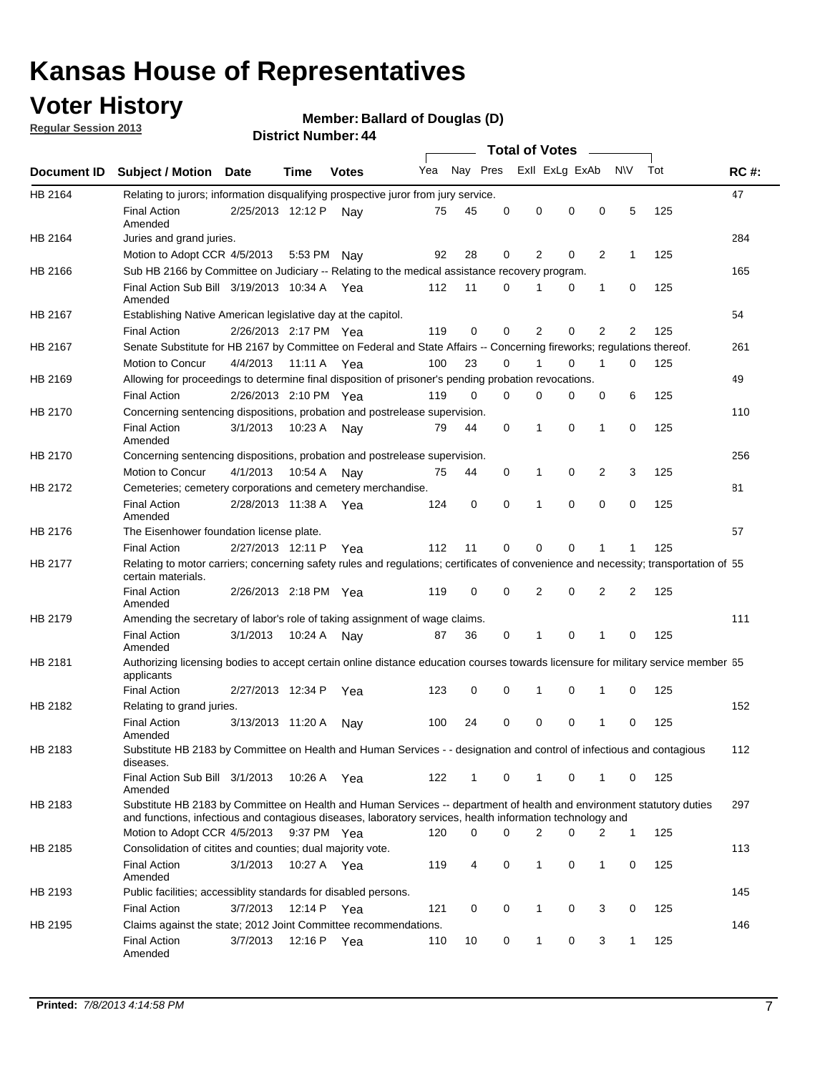### **Voter History**

**Member: Ballard of Douglas (D)** 

**Regular Session 2013**

|             |                                                                                                                                                                                                                                    |                       | י . וסעוווארו ועו ווסוש |              |     |          |          | <b>Total of Votes</b> |   | $\overline{\phantom{a}}$ |                |     |             |
|-------------|------------------------------------------------------------------------------------------------------------------------------------------------------------------------------------------------------------------------------------|-----------------------|-------------------------|--------------|-----|----------|----------|-----------------------|---|--------------------------|----------------|-----|-------------|
| Document ID | <b>Subject / Motion Date</b>                                                                                                                                                                                                       |                       | Time                    | <b>Votes</b> | Yea | Nay Pres |          | Exll ExLg ExAb        |   |                          | N\V            | Tot | <b>RC#:</b> |
| HB 2164     | Relating to jurors; information disqualifying prospective juror from jury service.                                                                                                                                                 |                       |                         |              |     |          |          |                       |   |                          |                |     | 47          |
|             | <b>Final Action</b><br>Amended                                                                                                                                                                                                     | 2/25/2013 12:12 P     |                         | Nav          | 75  | 45       | 0        | 0                     | 0 | 0                        | 5              | 125 |             |
| HB 2164     | Juries and grand juries.                                                                                                                                                                                                           |                       |                         |              |     |          |          |                       |   |                          |                |     | 284         |
|             | Motion to Adopt CCR 4/5/2013                                                                                                                                                                                                       |                       | 5:53 PM                 | Nav          | 92  | 28       | 0        | 2                     | 0 | $\overline{2}$           | $\mathbf{1}$   | 125 |             |
| HB 2166     | Sub HB 2166 by Committee on Judiciary -- Relating to the medical assistance recovery program.                                                                                                                                      |                       |                         |              |     |          |          |                       |   |                          |                |     | 165         |
|             | Final Action Sub Bill 3/19/2013 10:34 A Yea<br>Amended                                                                                                                                                                             |                       |                         |              | 112 | 11       | $\Omega$ |                       | 0 | 1                        | 0              | 125 |             |
| HB 2167     | Establishing Native American legislative day at the capitol.                                                                                                                                                                       |                       |                         |              |     |          |          |                       |   |                          |                |     | 54          |
|             | <b>Final Action</b>                                                                                                                                                                                                                | 2/26/2013 2:17 PM Yea |                         |              | 119 | 0        | $\Omega$ | 2                     | 0 | $\overline{2}$           | 2              | 125 |             |
| HB 2167     | Senate Substitute for HB 2167 by Committee on Federal and State Affairs -- Concerning fireworks; regulations thereof.                                                                                                              |                       |                         |              |     |          |          |                       |   |                          |                |     | 261         |
|             | Motion to Concur                                                                                                                                                                                                                   | 4/4/2013              | 11:11 A Yea             |              | 100 | 23       | 0        | 1                     | 0 | 1                        | 0              | 125 |             |
| HB 2169     | Allowing for proceedings to determine final disposition of prisoner's pending probation revocations.                                                                                                                               |                       |                         |              |     |          |          |                       |   |                          |                |     | 49          |
|             | <b>Final Action</b>                                                                                                                                                                                                                | 2/26/2013 2:10 PM Yea |                         |              | 119 | 0        | 0        | 0                     | 0 | 0                        | 6              | 125 |             |
| HB 2170     | Concerning sentencing dispositions, probation and postrelease supervision.                                                                                                                                                         |                       |                         |              |     |          |          |                       |   |                          |                |     | 110         |
|             | <b>Final Action</b><br>Amended                                                                                                                                                                                                     | 3/1/2013              | 10:23 A                 | Nay          | 79  | 44       | 0        | 1                     | 0 | 1                        | 0              | 125 |             |
| HB 2170     | Concerning sentencing dispositions, probation and postrelease supervision.                                                                                                                                                         |                       |                         |              |     |          |          |                       |   |                          |                |     | 256         |
|             | Motion to Concur                                                                                                                                                                                                                   | 4/1/2013              | 10:54 A                 | Nay          | 75  | 44       | 0        | 1                     | 0 | $\overline{2}$           | 3              | 125 |             |
| HB 2172     | Cemeteries; cemetery corporations and cemetery merchandise.                                                                                                                                                                        |                       |                         |              |     |          |          |                       |   |                          |                |     | 81          |
|             | <b>Final Action</b><br>Amended                                                                                                                                                                                                     | 2/28/2013 11:38 A Yea |                         |              | 124 | 0        | 0        | 1                     | 0 | $\Omega$                 | 0              | 125 |             |
| HB 2176     | The Eisenhower foundation license plate.                                                                                                                                                                                           |                       |                         |              |     |          |          |                       |   |                          |                |     | 57          |
|             | <b>Final Action</b>                                                                                                                                                                                                                | 2/27/2013 12:11 P     |                         | Yea          | 112 | 11       | $\Omega$ | 0                     | 0 | 1                        | 1              | 125 |             |
| HB 2177     | Relating to motor carriers; concerning safety rules and regulations; certificates of convenience and necessity; transportation of 55<br>certain materials.                                                                         |                       |                         |              |     |          |          |                       |   |                          |                |     |             |
|             | <b>Final Action</b><br>Amended                                                                                                                                                                                                     | 2/26/2013 2:18 PM Yea |                         |              | 119 | 0        | $\Omega$ | 2                     | 0 | $\overline{2}$           | $\overline{2}$ | 125 |             |
| HB 2179     | Amending the secretary of labor's role of taking assignment of wage claims.                                                                                                                                                        |                       |                         |              |     |          |          |                       |   |                          |                |     | 111         |
|             | <b>Final Action</b><br>Amended                                                                                                                                                                                                     | 3/1/2013              | 10:24 A                 | Nav          | 87  | 36       | 0        | 1                     | 0 | 1                        | 0              | 125 |             |
| HB 2181     | Authorizing licensing bodies to accept certain online distance education courses towards licensure for military service member 55<br>applicants                                                                                    |                       |                         |              |     |          |          |                       |   |                          |                |     |             |
|             | <b>Final Action</b>                                                                                                                                                                                                                | 2/27/2013 12:34 P     |                         | Yea          | 123 | 0        | 0        |                       | 0 | 1                        | 0              | 125 |             |
| HB 2182     | Relating to grand juries.                                                                                                                                                                                                          |                       |                         |              |     |          |          |                       |   |                          |                |     | 152         |
|             | <b>Final Action</b><br>Amended                                                                                                                                                                                                     | 3/13/2013 11:20 A     |                         | Nav          | 100 | 24       | 0        | 0                     | 0 | 1                        | 0              | 125 |             |
| HB 2183     | Substitute HB 2183 by Committee on Health and Human Services - - designation and control of infectious and contagious<br>diseases.                                                                                                 |                       |                         |              |     |          |          |                       |   |                          |                |     | 112         |
|             | Final Action Sub Bill 3/1/2013<br>Amended                                                                                                                                                                                          |                       | 10:26 A Yea             |              | 122 | 1        | 0        | 1                     | 0 | 1                        | 0              | 125 |             |
| HB 2183     | Substitute HB 2183 by Committee on Health and Human Services -- department of health and environment statutory duties<br>and functions, infectious and contagious diseases, laboratory services, health information technology and |                       |                         |              |     |          |          |                       |   |                          |                |     | 297         |
|             | Motion to Adopt CCR 4/5/2013                                                                                                                                                                                                       |                       | 9:37 PM Yea             |              | 120 | 0        | 0        | 2                     | 0 | 2                        | 1              | 125 |             |
| HB 2185     | Consolidation of citites and counties; dual majority vote.                                                                                                                                                                         |                       |                         |              |     |          |          |                       |   |                          |                |     | 113         |
|             | <b>Final Action</b><br>Amended                                                                                                                                                                                                     | 3/1/2013              | 10:27 A Yea             |              | 119 | 4        | 0        | 1                     | 0 | $\mathbf{1}$             | 0              | 125 |             |
| HB 2193     | Public facilities; accessiblity standards for disabled persons.                                                                                                                                                                    |                       |                         |              |     |          |          |                       |   |                          |                |     | 145         |
|             | <b>Final Action</b>                                                                                                                                                                                                                | 3/7/2013              | 12:14 P                 | Yea          | 121 | 0        | 0        | 1                     | 0 | 3                        | 0              | 125 |             |
| HB 2195     | Claims against the state; 2012 Joint Committee recommendations.                                                                                                                                                                    |                       |                         |              |     |          |          |                       |   |                          |                |     | 146         |
|             | <b>Final Action</b><br>Amended                                                                                                                                                                                                     | 3/7/2013              | 12:16 P Yea             |              | 110 | 10       | 0        | 1                     | 0 | 3                        | 1              | 125 |             |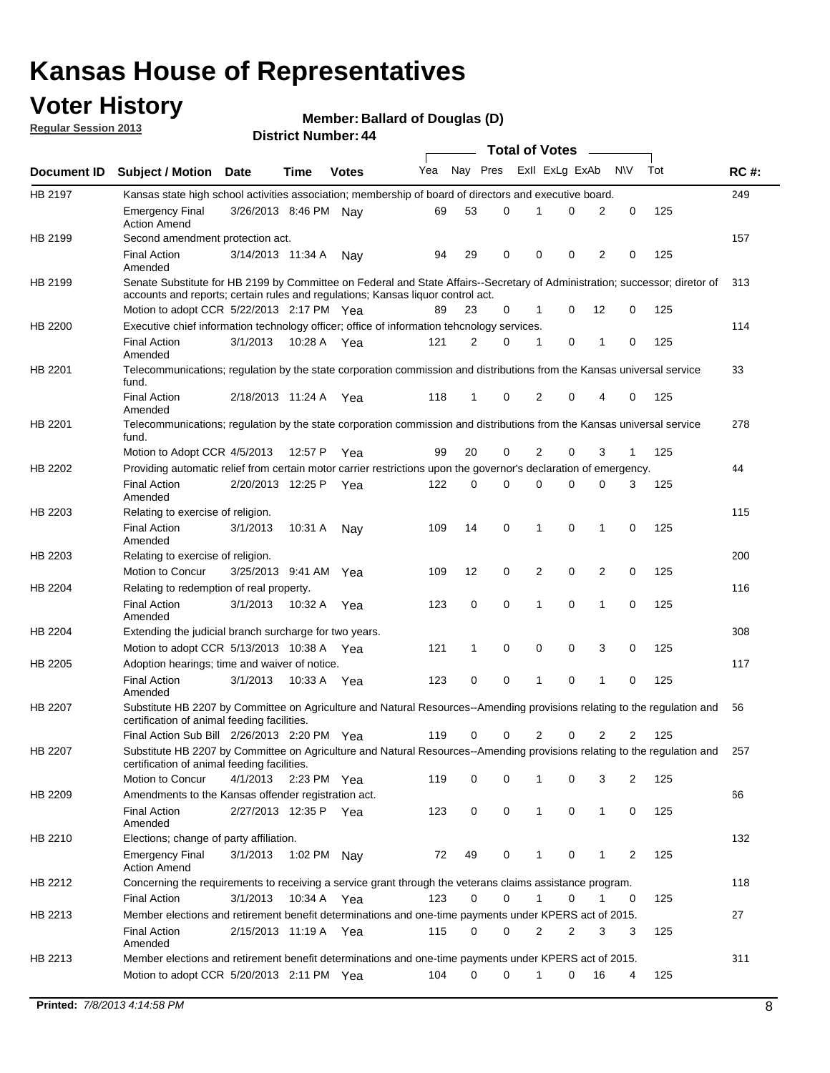### **Voter History**

**Member: Ballard of Douglas (D)** 

**Regular Session 2013**

|                |                                                                                                                                                                             |                       |             |              |     |             |   | <b>Total of Votes</b> |   |                |              |     |             |
|----------------|-----------------------------------------------------------------------------------------------------------------------------------------------------------------------------|-----------------------|-------------|--------------|-----|-------------|---|-----------------------|---|----------------|--------------|-----|-------------|
| Document ID    | <b>Subject / Motion Date</b>                                                                                                                                                |                       | Time        | <b>Votes</b> | Yea | Nay Pres    |   | Exll ExLg ExAb        |   |                | <b>NV</b>    | Tot | <b>RC#:</b> |
| HB 2197        | Kansas state high school activities association; membership of board of directors and executive board.                                                                      |                       |             |              |     |             |   |                       |   |                |              |     | 249         |
|                | <b>Emergency Final</b><br><b>Action Amend</b>                                                                                                                               | 3/26/2013 8:46 PM Nay |             |              | 69  | 53          | 0 |                       | 0 | 2              | 0            | 125 |             |
| HB 2199        | Second amendment protection act.                                                                                                                                            |                       |             |              |     |             |   |                       |   |                |              |     | 157         |
|                | <b>Final Action</b><br>Amended                                                                                                                                              | 3/14/2013 11:34 A     |             | Nav          | 94  | 29          | 0 | 0                     | 0 | 2              | 0            | 125 |             |
| HB 2199        | Senate Substitute for HB 2199 by Committee on Federal and State Affairs--Secretary of Administration; successor; diretor of                                                 |                       |             |              |     |             |   |                       |   |                |              |     | 313         |
|                | accounts and reports; certain rules and regulations; Kansas liguor control act.                                                                                             |                       |             |              |     |             |   |                       |   |                |              |     |             |
|                | Motion to adopt CCR 5/22/2013 2:17 PM Yea                                                                                                                                   |                       |             |              | 89  | 23          | 0 | 1                     | 0 | 12             | 0            | 125 |             |
| HB 2200        | Executive chief information technology officer; office of information tehcnology services.                                                                                  |                       |             |              |     |             |   |                       |   |                |              |     | 114         |
|                | <b>Final Action</b><br>Amended                                                                                                                                              | 3/1/2013              | 10:28 A     | Yea          | 121 | 2           | 0 | 1                     | 0 | 1              | 0            | 125 |             |
| HB 2201        | Telecommunications; regulation by the state corporation commission and distributions from the Kansas universal service<br>fund.                                             |                       |             |              |     |             |   |                       |   |                |              |     | 33          |
|                | <b>Final Action</b><br>Amended                                                                                                                                              | 2/18/2013 11:24 A     |             | Yea          | 118 | 1           | 0 | 2                     | 0 | 4              | 0            | 125 |             |
| HB 2201        | Telecommunications; regulation by the state corporation commission and distributions from the Kansas universal service<br>fund.                                             |                       |             |              |     |             |   |                       |   |                |              |     | 278         |
|                | Motion to Adopt CCR 4/5/2013                                                                                                                                                |                       | 12:57 P     | Yea          | 99  | 20          | 0 | 2                     | 0 | 3              | $\mathbf{1}$ | 125 |             |
| HB 2202        | Providing automatic relief from certain motor carrier restrictions upon the governor's declaration of emergency.                                                            |                       |             |              |     |             |   |                       |   |                |              |     | 44          |
|                | <b>Final Action</b><br>Amended                                                                                                                                              | 2/20/2013 12:25 P     |             | Yea          | 122 | 0           | 0 | 0                     | 0 | 0              | 3            | 125 |             |
| HB 2203        | Relating to exercise of religion.                                                                                                                                           |                       |             |              |     |             |   |                       |   |                |              |     | 115         |
|                | <b>Final Action</b><br>Amended                                                                                                                                              | 3/1/2013              | 10:31 A     | Nav          | 109 | 14          | 0 | 1                     | 0 | 1              | 0            | 125 |             |
| HB 2203        | Relating to exercise of religion.                                                                                                                                           |                       |             |              |     |             |   |                       |   |                |              |     | 200         |
|                | Motion to Concur                                                                                                                                                            | 3/25/2013 9:41 AM     |             | Yea          | 109 | 12          | 0 | 2                     | 0 | 2              | 0            | 125 |             |
| HB 2204        | Relating to redemption of real property.                                                                                                                                    |                       |             |              |     |             |   |                       |   |                |              |     | 116         |
|                | <b>Final Action</b>                                                                                                                                                         | 3/1/2013              | 10:32 A     | Yea          | 123 | $\mathbf 0$ | 0 | 1                     | 0 | $\mathbf{1}$   | 0            | 125 |             |
| HB 2204        | Amended<br>Extending the judicial branch surcharge for two years.                                                                                                           |                       |             |              |     |             |   |                       |   |                |              |     | 308         |
|                | Motion to adopt CCR 5/13/2013 10:38 A Yea                                                                                                                                   |                       |             |              | 121 | 1           | 0 | 0                     | 0 | 3              | 0            | 125 |             |
| HB 2205        | Adoption hearings; time and waiver of notice.                                                                                                                               |                       |             |              |     |             |   |                       |   |                |              |     | 117         |
|                | <b>Final Action</b><br>Amended                                                                                                                                              | 3/1/2013              | 10:33 A Yea |              | 123 | 0           | 0 | 1                     | 0 | 1              | 0            | 125 |             |
| HB 2207        | Substitute HB 2207 by Committee on Agriculture and Natural Resources--Amending provisions relating to the regulation and<br>certification of animal feeding facilities.     |                       |             |              |     |             |   |                       |   |                |              |     | 56          |
|                | Final Action Sub Bill 2/26/2013 2:20 PM Yea                                                                                                                                 |                       |             |              | 119 | 0           | 0 | 2                     | 0 | $\overline{2}$ | 2            | 125 |             |
| <b>HB 2207</b> | Substitute HB 2207 by Committee on Agriculture and Natural Resources--Amending provisions relating to the regulation and 257<br>certification of animal feeding facilities. |                       |             |              |     |             |   |                       |   |                |              |     |             |
|                | Motion to Concur                                                                                                                                                            | 4/1/2013              | 2:23 PM Yea |              | 119 | 0           | 0 | 1                     | 0 | 3              | 2            | 125 |             |
| HB 2209        | Amendments to the Kansas offender registration act.                                                                                                                         |                       |             |              |     |             |   |                       |   |                |              |     | 66          |
|                | <b>Final Action</b><br>Amended                                                                                                                                              | 2/27/2013 12:35 P Yea |             |              | 123 | 0           | 0 | $\mathbf{1}$          | 0 | $\mathbf{1}$   | 0            | 125 |             |
| HB 2210        | Elections; change of party affiliation.                                                                                                                                     |                       |             |              |     |             |   |                       |   |                |              |     | 132         |
|                | <b>Emergency Final</b><br><b>Action Amend</b>                                                                                                                               | 3/1/2013              | 1:02 PM Nay |              | 72  | 49          | 0 |                       | 0 | 1              | 2            | 125 |             |
| HB 2212        | Concerning the requirements to receiving a service grant through the veterans claims assistance program.                                                                    |                       |             |              |     |             |   |                       |   |                |              |     | 118         |
|                | <b>Final Action</b>                                                                                                                                                         | 3/1/2013              | 10:34 A Yea |              | 123 | 0           | 0 | $\mathbf{1}$          | 0 | 1              | 0            | 125 |             |
| HB 2213        | Member elections and retirement benefit determinations and one-time payments under KPERS act of 2015.                                                                       |                       |             |              |     |             |   |                       |   |                |              |     | 27          |
|                | <b>Final Action</b><br>Amended                                                                                                                                              | 2/15/2013 11:19 A Yea |             |              | 115 | 0           | 0 | 2                     | 2 | 3              | 3            | 125 |             |
| HB 2213        | Member elections and retirement benefit determinations and one-time payments under KPERS act of 2015.                                                                       |                       |             |              |     |             |   |                       |   |                |              |     | 311         |
|                | Motion to adopt CCR 5/20/2013 2:11 PM Yea                                                                                                                                   |                       |             |              | 104 | $\Omega$    | 0 | 1                     | 0 | 16             | 4            | 125 |             |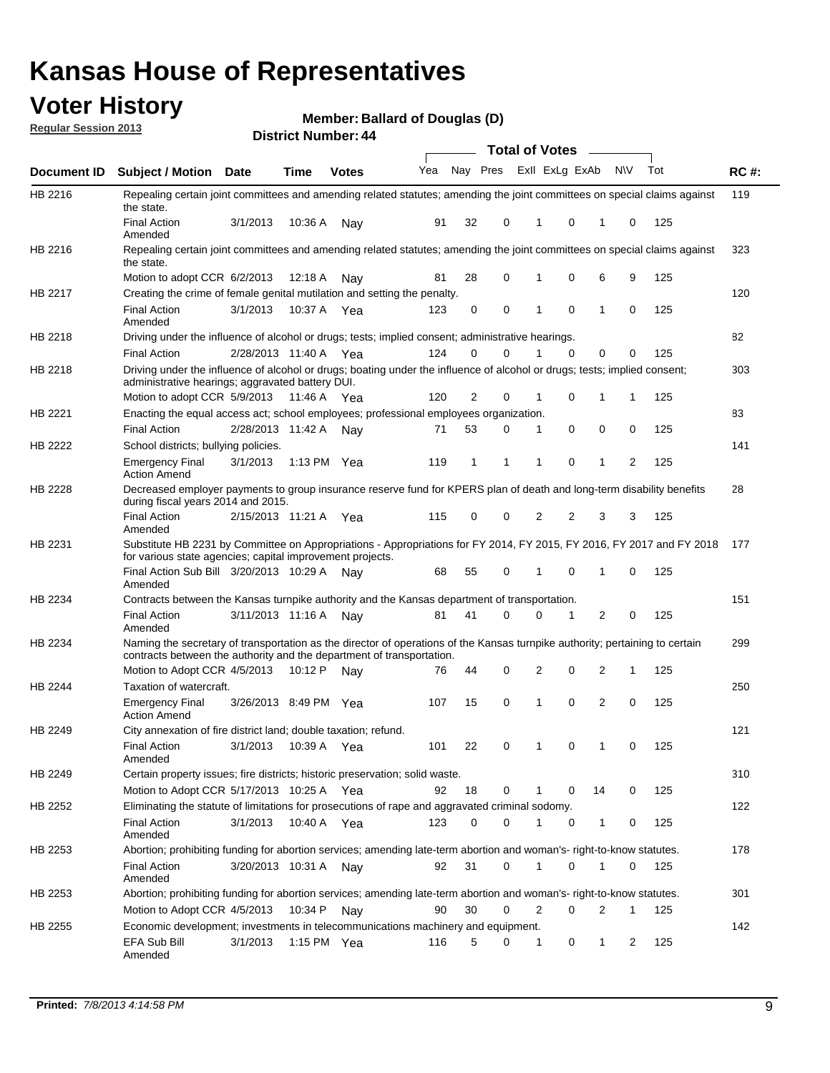### **Voter History**

**Member: Ballard of Douglas (D)** 

**Regular Session 2013**

|                |                                                                                                                                                                                                               |                       |               |              |     |          |          | <b>Total of Votes</b> |          | $\overline{\phantom{a}}$ |           |     |             |
|----------------|---------------------------------------------------------------------------------------------------------------------------------------------------------------------------------------------------------------|-----------------------|---------------|--------------|-----|----------|----------|-----------------------|----------|--------------------------|-----------|-----|-------------|
| Document ID    | Subject / Motion Date                                                                                                                                                                                         |                       | <b>Time</b>   | <b>Votes</b> | Yea | Nay Pres |          | Exll ExLg ExAb        |          |                          | <b>NV</b> | Tot | <b>RC#:</b> |
| HB 2216        | Repealing certain joint committees and amending related statutes; amending the joint committees on special claims against<br>the state.                                                                       |                       |               |              |     |          |          |                       |          |                          |           |     | 119         |
|                | <b>Final Action</b><br>Amended                                                                                                                                                                                | 3/1/2013              | 10:36 A       | Nay          | 91  | 32       | 0        | 1                     | 0        | 1                        | 0         | 125 |             |
| HB 2216        | Repealing certain joint committees and amending related statutes; amending the joint committees on special claims against<br>the state.                                                                       |                       |               |              |     |          |          |                       |          |                          |           |     | 323         |
|                | Motion to adopt CCR 6/2/2013                                                                                                                                                                                  |                       | 12:18 A       | Nav          | 81  | 28       | 0        | 1                     | 0        | 6                        | 9         | 125 |             |
| HB 2217        | Creating the crime of female genital mutilation and setting the penalty.                                                                                                                                      |                       |               |              |     |          |          |                       |          |                          |           |     | 120         |
|                | <b>Final Action</b><br>Amended                                                                                                                                                                                | 3/1/2013              | 10:37 A Yea   |              | 123 | 0        | 0        | 1                     | 0        | 1                        | 0         | 125 |             |
| HB 2218        | Driving under the influence of alcohol or drugs; tests; implied consent; administrative hearings.                                                                                                             |                       |               |              |     |          |          |                       |          |                          |           |     | 82          |
|                | <b>Final Action</b>                                                                                                                                                                                           | 2/28/2013 11:40 A Yea |               |              | 124 | 0        | $\Omega$ |                       | $\Omega$ | 0                        | 0         | 125 |             |
| HB 2218        | Driving under the influence of alcohol or drugs; boating under the influence of alcohol or drugs; tests; implied consent;<br>administrative hearings; aggravated battery DUI.<br>Motion to adopt CCR 5/9/2013 |                       | 11:46 A Yea   |              | 120 | 2        | 0        | 1                     | 0        | 1                        | 1         | 125 | 303         |
|                |                                                                                                                                                                                                               |                       |               |              |     |          |          |                       |          |                          |           |     | 83          |
| HB 2221        | Enacting the equal access act; school employees; professional employees organization.                                                                                                                         |                       |               |              |     |          |          |                       |          |                          |           |     |             |
|                | <b>Final Action</b>                                                                                                                                                                                           | 2/28/2013 11:42 A     |               | Nay          | 71  | 53       | 0        | 1                     | 0        | 0                        | 0         | 125 |             |
| HB 2222        | School districts; bullying policies.<br>Emergency Final                                                                                                                                                       | 3/1/2013              | 1:13 PM $Yea$ |              | 119 | 1        | 1        | 1                     | 0        | 1                        | 2         | 125 | 141         |
| HB 2228        | <b>Action Amend</b><br>Decreased employer payments to group insurance reserve fund for KPERS plan of death and long-term disability benefits<br>during fiscal years 2014 and 2015.                            |                       |               |              |     |          |          |                       |          |                          |           |     | 28          |
|                | <b>Final Action</b><br>Amended                                                                                                                                                                                | 2/15/2013 11:21 A Yea |               |              | 115 | 0        | 0        | 2                     | 2        | 3                        | 3         | 125 |             |
| HB 2231        | Substitute HB 2231 by Committee on Appropriations - Appropriations for FY 2014, FY 2015, FY 2016, FY 2017 and FY 2018 177<br>for various state agencies; capital improvement projects.                        |                       |               |              |     |          |          |                       |          |                          |           |     |             |
|                | Final Action Sub Bill 3/20/2013 10:29 A<br>Amended                                                                                                                                                            |                       |               | Nav          | 68  | 55       | 0        | 1                     | 0        | 1                        | 0         | 125 |             |
| HB 2234        | Contracts between the Kansas turnpike authority and the Kansas department of transportation.                                                                                                                  |                       |               |              |     |          |          |                       |          |                          |           |     | 151         |
|                | <b>Final Action</b><br>Amended                                                                                                                                                                                | 3/11/2013 11:16 A     |               | Nay          | 81  | 41       | 0        | 0                     | 1        | 2                        | 0         | 125 |             |
| HB 2234        | Naming the secretary of transportation as the director of operations of the Kansas turnpike authority; pertaining to certain<br>contracts between the authority and the department of transportation.         |                       |               |              |     |          |          |                       |          |                          |           |     | 299         |
|                | Motion to Adopt CCR 4/5/2013                                                                                                                                                                                  |                       | 10:12 P       | Nav          | 76  | 44       | 0        | 2                     | 0        | 2                        | 1         | 125 |             |
| <b>HB 2244</b> | Taxation of watercraft.<br><b>Emergency Final</b>                                                                                                                                                             | 3/26/2013 8:49 PM Yea |               |              | 107 | 15       | 0        | 1                     | 0        | 2                        | 0         | 125 | 250         |
|                | <b>Action Amend</b>                                                                                                                                                                                           |                       |               |              |     |          |          |                       |          |                          |           |     |             |
| HB 2249        | City annexation of fire district land; double taxation; refund.                                                                                                                                               |                       |               |              |     |          |          |                       |          |                          |           |     | 121         |
|                | Final Action<br>Amended                                                                                                                                                                                       | 3/1/2013 10:39 A Yea  |               |              | 101 | 22       | 0        | $\mathbf{1}$          | $\cap$   | 1                        | $\Omega$  | 125 |             |
| HB 2249        | Certain property issues; fire districts; historic preservation; solid waste.                                                                                                                                  |                       |               |              |     |          |          |                       |          |                          |           |     | 310         |
|                | Motion to Adopt CCR 5/17/2013 10:25 A Yea                                                                                                                                                                     |                       |               |              | 92  | 18       | 0        |                       | 0        | 14                       | 0         | 125 |             |
| HB 2252        | Eliminating the statute of limitations for prosecutions of rape and aggravated criminal sodomy.                                                                                                               |                       |               |              |     |          |          |                       |          |                          |           |     | 122         |
|                | <b>Final Action</b><br>Amended                                                                                                                                                                                | 3/1/2013              | 10:40 A Yea   |              | 123 | 0        | 0        |                       | 0        | 1                        | 0         | 125 |             |
| HB 2253        | Abortion; prohibiting funding for abortion services; amending late-term abortion and woman's- right-to-know statutes.                                                                                         |                       |               |              |     |          |          |                       |          |                          |           |     | 178         |
|                | <b>Final Action</b><br>Amended                                                                                                                                                                                | 3/20/2013 10:31 A     |               | Nav          | 92  | 31       | 0        | 1                     | 0        | 1                        | 0         | 125 |             |
| HB 2253        | Abortion; prohibiting funding for abortion services; amending late-term abortion and woman's- right-to-know statutes.                                                                                         |                       |               |              |     |          |          |                       |          |                          |           |     | 301         |
|                | Motion to Adopt CCR 4/5/2013                                                                                                                                                                                  |                       | 10:34 P Nay   |              | 90  | 30       | 0        | 2                     | 0        | 2                        | 1         | 125 |             |
| HB 2255        | Economic development; investments in telecommunications machinery and equipment.                                                                                                                              |                       |               |              |     |          |          |                       |          |                          |           |     | 142         |
|                | EFA Sub Bill<br>Amended                                                                                                                                                                                       | 3/1/2013              | 1:15 PM Yea   |              | 116 | 5        | 0        | -1                    | 0        | 1                        | 2         | 125 |             |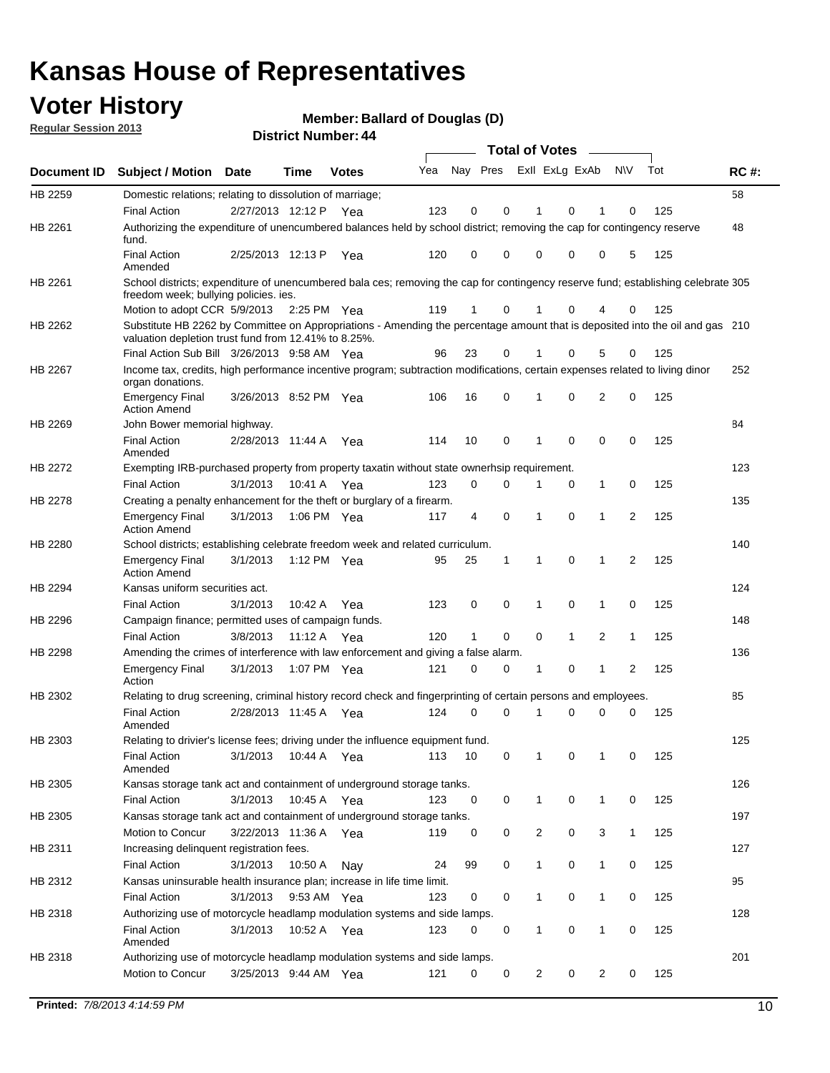### **Voter History**

**Member: Ballard of Douglas (D)** 

**Regular Session 2013**

|                    |                                                                                                                                                                                       |                       |             |              |     |                         |          | <b>Total of Votes</b> |   | $\overline{\phantom{a}}$ |                |     |             |
|--------------------|---------------------------------------------------------------------------------------------------------------------------------------------------------------------------------------|-----------------------|-------------|--------------|-----|-------------------------|----------|-----------------------|---|--------------------------|----------------|-----|-------------|
| <b>Document ID</b> | <b>Subject / Motion Date</b>                                                                                                                                                          |                       | <b>Time</b> | <b>Votes</b> | Yea | Nay Pres Exll ExLg ExAb |          |                       |   |                          | <b>NV</b>      | Tot | <b>RC#:</b> |
| HB 2259            | Domestic relations; relating to dissolution of marriage;                                                                                                                              |                       |             |              |     |                         |          |                       |   |                          |                |     | 58          |
|                    | <b>Final Action</b>                                                                                                                                                                   | 2/27/2013 12:12 P     |             | Yea          | 123 | 0                       | 0        | 1                     | 0 | 1                        | 0              | 125 |             |
| HB 2261            | Authorizing the expenditure of unencumbered balances held by school district; removing the cap for contingency reserve<br>fund.                                                       |                       |             |              |     |                         |          |                       |   |                          |                |     | 48          |
|                    | <b>Final Action</b><br>Amended                                                                                                                                                        | 2/25/2013 12:13 P     |             | Yea          | 120 | 0                       | 0        | 0                     | 0 | 0                        | 5              | 125 |             |
| HB 2261            | School districts; expenditure of unencumbered bala ces; removing the cap for contingency reserve fund; establishing celebrate 305<br>freedom week; bullying policies. ies.            |                       |             |              |     |                         |          |                       |   |                          |                |     |             |
|                    | Motion to adopt CCR 5/9/2013                                                                                                                                                          |                       | 2:25 PM Yea |              | 119 | 1                       | 0        | 1                     | 0 | 4                        | 0              | 125 |             |
| HB 2262            | Substitute HB 2262 by Committee on Appropriations - Amending the percentage amount that is deposited into the oil and gas 210<br>valuation depletion trust fund from 12.41% to 8.25%. |                       |             |              |     |                         |          |                       |   |                          |                |     |             |
|                    | Final Action Sub Bill 3/26/2013 9:58 AM Yea                                                                                                                                           |                       |             |              | 96  | 23                      | 0        |                       | 0 | 5                        | 0              | 125 |             |
| HB 2267            | Income tax, credits, high performance incentive program; subtraction modifications, certain expenses related to living dinor<br>organ donations.                                      |                       |             |              |     |                         |          |                       |   |                          |                |     | 252         |
|                    | <b>Emergency Final</b><br><b>Action Amend</b>                                                                                                                                         | 3/26/2013 8:52 PM Yea |             |              | 106 | 16                      | 0        | 1                     | 0 | 2                        | 0              | 125 |             |
| HB 2269            | John Bower memorial highway.                                                                                                                                                          |                       |             |              |     |                         |          |                       |   |                          |                |     | 84          |
|                    | <b>Final Action</b><br>Amended                                                                                                                                                        | 2/28/2013 11:44 A     |             | Yea          | 114 | 10                      | 0        | $\mathbf 1$           | 0 | 0                        | 0              | 125 |             |
| HB 2272            | Exempting IRB-purchased property from property taxatin without state ownerhsip requirement.                                                                                           |                       |             |              |     |                         |          |                       |   |                          |                |     | 123         |
|                    | <b>Final Action</b>                                                                                                                                                                   | 3/1/2013              | 10:41 A     | Yea          | 123 | 0                       | 0        | 1                     | 0 | $\mathbf{1}$             | 0              | 125 |             |
| HB 2278            | Creating a penalty enhancement for the theft or burglary of a firearm.                                                                                                                |                       |             |              |     |                         |          |                       |   |                          |                |     | 135         |
|                    | <b>Emergency Final</b><br><b>Action Amend</b>                                                                                                                                         | 3/1/2013              | 1:06 PM Yea |              | 117 | 4                       | 0        | 1                     | 0 | 1                        | $\overline{2}$ | 125 |             |
| HB 2280            | School districts; establishing celebrate freedom week and related curriculum.                                                                                                         |                       |             |              |     |                         |          |                       |   |                          |                |     | 140         |
|                    | <b>Emergency Final</b><br><b>Action Amend</b>                                                                                                                                         | 3/1/2013              | 1:12 PM Yea |              | 95  | 25                      | 1        | 1                     | 0 | 1                        | 2              | 125 |             |
| HB 2294            | Kansas uniform securities act.                                                                                                                                                        |                       |             |              |     |                         |          |                       |   |                          |                |     | 124         |
|                    | <b>Final Action</b>                                                                                                                                                                   | 3/1/2013              | 10:42 A     | Yea          | 123 | 0                       | 0        | 1                     | 0 | 1                        | 0              | 125 |             |
| HB 2296            | Campaign finance; permitted uses of campaign funds.                                                                                                                                   |                       |             |              |     |                         |          |                       |   |                          |                |     | 148         |
|                    | <b>Final Action</b>                                                                                                                                                                   | 3/8/2013              | 11:12 A Yea |              | 120 | 1                       | 0        | 0                     | 1 | 2                        | 1              | 125 |             |
| HB 2298            | Amending the crimes of interference with law enforcement and giving a false alarm.                                                                                                    |                       |             |              |     |                         |          |                       |   |                          |                |     | 136         |
|                    | <b>Emergency Final</b><br>Action                                                                                                                                                      | 3/1/2013              | 1:07 PM Yea |              | 121 | 0                       | 0        | 1                     | 0 | 1                        | 2              | 125 |             |
| HB 2302            | Relating to drug screening, criminal history record check and fingerprinting of certain persons and employees.                                                                        |                       |             |              |     |                         |          |                       |   |                          |                |     | 85          |
|                    | <b>Final Action</b><br>Amended                                                                                                                                                        | 2/28/2013 11:45 A     |             | Yea          | 124 | 0                       | $\Omega$ | 1                     | 0 | 0                        | 0              | 125 |             |
| HB 2303            | Relating to drivier's license fees; driving under the influence equipment fund.                                                                                                       |                       |             |              |     |                         |          |                       |   |                          |                |     | 125         |
|                    | <b>Final Action</b><br>Amended                                                                                                                                                        | 3/1/2013              | 10:44 A     | Yea          | 113 | 10                      | 0        | 1                     | 0 |                          | 0              | 125 |             |
| HB 2305            | Kansas storage tank act and containment of underground storage tanks.                                                                                                                 |                       |             |              |     |                         |          |                       |   |                          |                |     | 126         |
|                    | <b>Final Action</b>                                                                                                                                                                   | 3/1/2013              | 10:45 A     | Yea          | 123 | 0                       | 0        | 1                     | 0 | 1                        | 0              | 125 |             |
| HB 2305            | Kansas storage tank act and containment of underground storage tanks.                                                                                                                 |                       |             |              |     |                         |          |                       |   |                          |                |     | 197         |
|                    | Motion to Concur                                                                                                                                                                      | 3/22/2013 11:36 A     |             | Yea          | 119 | 0                       | 0        | 2                     | 0 | 3                        | $\mathbf{1}$   | 125 |             |
| HB 2311            | Increasing delinquent registration fees.                                                                                                                                              |                       |             |              |     |                         |          |                       |   |                          |                |     | 127         |
|                    | <b>Final Action</b>                                                                                                                                                                   | 3/1/2013              | 10:50 A     | Nay          | 24  | 99                      | 0        | 1                     | 0 | $\mathbf{1}$             | 0              | 125 |             |
| HB 2312            | Kansas uninsurable health insurance plan; increase in life time limit.                                                                                                                |                       |             |              |     |                         |          |                       |   |                          |                |     | 95          |
|                    | <b>Final Action</b>                                                                                                                                                                   | 3/1/2013              | 9:53 AM Yea |              | 123 | 0                       | 0        | 1                     | 0 | $\mathbf{1}$             | 0              | 125 |             |
| HB 2318            | Authorizing use of motorcycle headlamp modulation systems and side lamps.                                                                                                             |                       |             |              |     |                         |          |                       |   |                          |                |     | 128         |
|                    | <b>Final Action</b><br>Amended                                                                                                                                                        | 3/1/2013              | 10:52 A     | Yea          | 123 | 0                       | 0        | 1                     | 0 | 1                        | 0              | 125 |             |
| HB 2318            | Authorizing use of motorcycle headlamp modulation systems and side lamps.                                                                                                             |                       |             |              |     |                         |          |                       |   |                          |                |     | 201         |
|                    | Motion to Concur                                                                                                                                                                      | 3/25/2013 9:44 AM Yea |             |              | 121 | 0                       | 0        | 2                     | 0 | 2                        | 0              | 125 |             |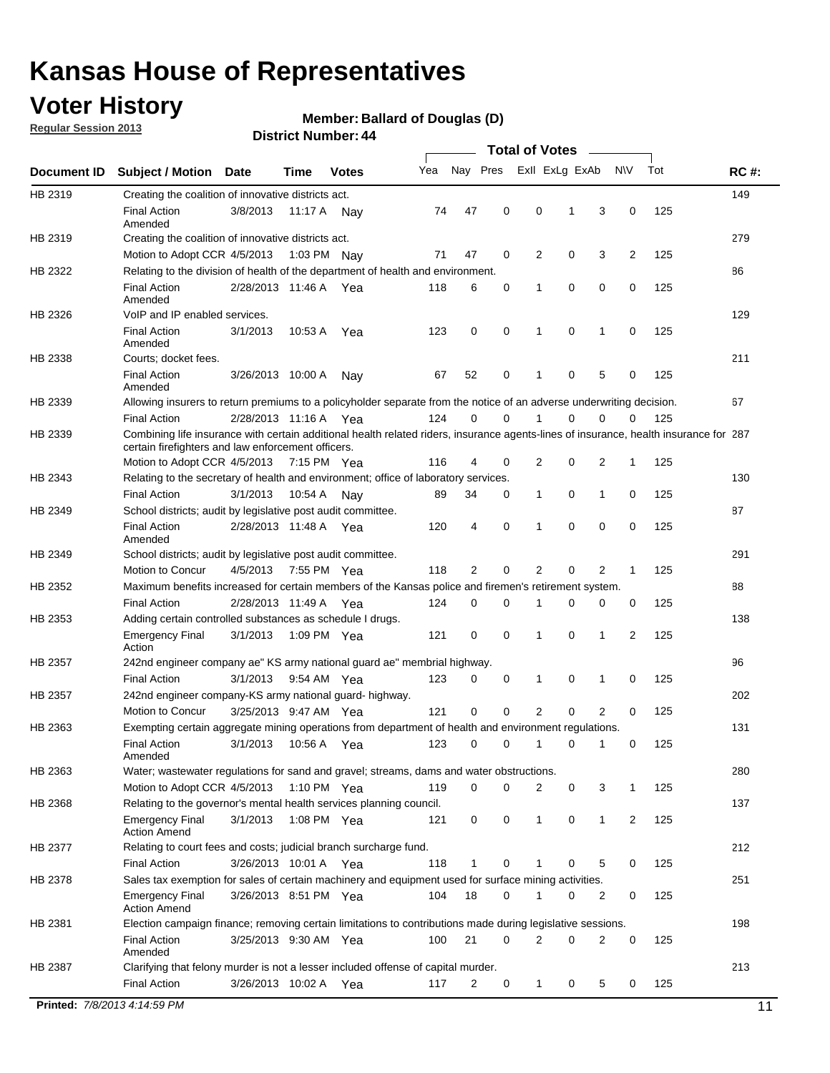### **Voter History**

**Member: Ballard of Douglas (D)** 

**Regular Session 2013**

|             |                                                                                                                                                                                             |                       |             |               |     |             |             | <b>Total of Votes</b> |   |              |                |     |             |
|-------------|---------------------------------------------------------------------------------------------------------------------------------------------------------------------------------------------|-----------------------|-------------|---------------|-----|-------------|-------------|-----------------------|---|--------------|----------------|-----|-------------|
| Document ID | <b>Subject / Motion</b>                                                                                                                                                                     | <b>Date</b>           | Time        | <b>Votes</b>  | Yea | Nay Pres    |             | Exll ExLg ExAb        |   |              | <b>NV</b>      | Tot | <b>RC#:</b> |
| HB 2319     | Creating the coalition of innovative districts act.                                                                                                                                         |                       |             |               |     |             |             |                       |   |              |                |     | 149         |
|             | <b>Final Action</b><br>Amended                                                                                                                                                              | 3/8/2013              | 11:17 A     | Nav           | 74  | 47          | 0           | 0                     | 1 | 3            | 0              | 125 |             |
| HB 2319     | Creating the coalition of innovative districts act.                                                                                                                                         |                       |             |               |     |             |             |                       |   |              |                |     | 279         |
|             | Motion to Adopt CCR 4/5/2013                                                                                                                                                                |                       | 1:03 PM     | Nav           | 71  | 47          | 0           | 2                     | 0 | 3            | $\overline{2}$ | 125 |             |
| HB 2322     | Relating to the division of health of the department of health and environment.                                                                                                             |                       |             |               |     |             |             |                       |   |              |                |     | 86          |
|             | <b>Final Action</b><br>Amended                                                                                                                                                              | 2/28/2013 11:46 A Yea |             |               | 118 | 6           | 0           | 1                     | 0 | 0            | 0              | 125 |             |
| HB 2326     | VoIP and IP enabled services.                                                                                                                                                               |                       |             |               |     |             |             |                       |   |              |                |     | 129         |
|             | <b>Final Action</b><br>Amended                                                                                                                                                              | 3/1/2013              | 10:53 A     | Yea           | 123 | 0           | 0           | 1                     | 0 | 1            | 0              | 125 |             |
| HB 2338     | Courts; docket fees.                                                                                                                                                                        |                       |             |               |     |             |             |                       |   |              |                |     | 211         |
|             | <b>Final Action</b><br>Amended                                                                                                                                                              | 3/26/2013 10:00 A     |             | Nav           | 67  | 52          | 0           | 1                     | 0 | 5            | 0              | 125 |             |
| HB 2339     | Allowing insurers to return premiums to a policyholder separate from the notice of an adverse underwriting decision.                                                                        |                       |             |               |     |             |             |                       |   |              |                |     | 67          |
|             | <b>Final Action</b>                                                                                                                                                                         | 2/28/2013 11:16 A Yea |             |               | 124 | 0           | 0           | 1                     | 0 | 0            | 0              | 125 |             |
| HB 2339     | Combining life insurance with certain additional health related riders, insurance agents-lines of insurance, health insurance for 287<br>certain firefighters and law enforcement officers. |                       |             |               |     |             |             |                       |   |              |                |     |             |
|             | Motion to Adopt CCR 4/5/2013 7:15 PM Yea                                                                                                                                                    |                       |             |               | 116 | 4           | 0           | 2                     | 0 | 2            | 1              | 125 |             |
| HB 2343     | Relating to the secretary of health and environment; office of laboratory services.                                                                                                         |                       |             |               |     |             |             |                       |   |              |                |     | 130         |
|             | <b>Final Action</b>                                                                                                                                                                         | 3/1/2013              | 10:54 A     | Nav           | 89  | 34          | 0           | 1                     | 0 | 1            | 0              | 125 |             |
| HB 2349     | School districts; audit by legislative post audit committee.                                                                                                                                |                       |             |               |     |             |             |                       |   |              |                |     | 87          |
|             | <b>Final Action</b><br>Amended                                                                                                                                                              | 2/28/2013 11:48 A Yea |             |               | 120 | 4           | $\mathbf 0$ | 1                     | 0 | 0            | 0              | 125 |             |
| HB 2349     | School districts; audit by legislative post audit committee.                                                                                                                                |                       |             |               |     |             |             |                       |   |              |                |     | 291         |
|             | Motion to Concur                                                                                                                                                                            | 4/5/2013              | 7:55 PM Yea |               | 118 | 2           | 0           | 2                     | 0 | 2            | 1              | 125 |             |
| HB 2352     | Maximum benefits increased for certain members of the Kansas police and firemen's retirement system.                                                                                        |                       |             |               |     |             |             |                       |   |              |                |     | 88          |
|             | <b>Final Action</b>                                                                                                                                                                         | 2/28/2013 11:49 A     |             | Yea           | 124 | 0           | 0           | 1                     | 0 | 0            | 0              | 125 |             |
| HB 2353     | Adding certain controlled substances as schedule I drugs.                                                                                                                                   |                       |             |               |     |             |             |                       |   |              |                |     | 138         |
|             | <b>Emergency Final</b><br>Action                                                                                                                                                            | 3/1/2013              |             | 1:09 PM Yea   | 121 | 0           | $\mathbf 0$ | 1                     | 0 | 1            | 2              | 125 |             |
| HB 2357     | 242nd engineer company ae" KS army national guard ae" membrial highway.                                                                                                                     |                       |             |               |     |             |             |                       |   |              |                |     | 96          |
|             | <b>Final Action</b>                                                                                                                                                                         | 3/1/2013              |             | 9:54 AM Yea   | 123 | 0           | 0           | 1                     | 0 | 1            | 0              | 125 |             |
| HB 2357     | 242nd engineer company-KS army national guard- highway.                                                                                                                                     |                       |             |               |     |             |             |                       |   |              |                |     | 202         |
|             | Motion to Concur                                                                                                                                                                            | 3/25/2013 9:47 AM Yea |             |               | 121 | $\mathbf 0$ | $\mathbf 0$ | $\overline{2}$        | 0 | 2            | 0              | 125 |             |
| HB 2363     | Exempting certain aggregate mining operations from department of health and environment regulations.                                                                                        |                       |             |               |     |             |             |                       |   |              |                |     | 131         |
|             | <b>Final Action</b><br>Amended                                                                                                                                                              | 3/1/2013              | 10:56 A     | Yea           | 123 | 0           | 0           | 1                     | 0 | 1            | 0              | 125 |             |
| HB 2363     | Water; wastewater regulations for sand and gravel; streams, dams and water obstructions.                                                                                                    |                       |             |               |     |             |             |                       |   |              |                |     | 280         |
|             | Motion to Adopt CCR 4/5/2013                                                                                                                                                                |                       |             | 1:10 PM $Yea$ | 119 | 0           | 0           | 2                     | 0 | 3            | 1              | 125 |             |
| HB 2368     | Relating to the governor's mental health services planning council.                                                                                                                         |                       |             |               |     |             |             |                       |   |              |                |     | 137         |
|             | <b>Emergency Final</b><br><b>Action Amend</b>                                                                                                                                               | 3/1/2013              |             | 1:08 PM Yea   | 121 | 0           | 0           | 1                     | 0 | $\mathbf{1}$ | 2              | 125 |             |
| HB 2377     | Relating to court fees and costs; judicial branch surcharge fund.                                                                                                                           |                       |             |               |     |             |             |                       |   |              |                |     | 212         |
|             | <b>Final Action</b>                                                                                                                                                                         | 3/26/2013 10:01 A Yea |             |               | 118 | 1           | 0           |                       | 0 | 5            | 0              | 125 |             |
| HB 2378     | Sales tax exemption for sales of certain machinery and equipment used for surface mining activities.                                                                                        |                       |             |               |     |             |             |                       |   |              |                |     | 251         |
|             | <b>Emergency Final</b><br><b>Action Amend</b>                                                                                                                                               | 3/26/2013 8:51 PM Yea |             |               | 104 | 18          | 0           | 1                     | 0 | 2            | 0              | 125 |             |
| HB 2381     | Election campaign finance; removing certain limitations to contributions made during legislative sessions.                                                                                  |                       |             |               |     |             |             |                       |   |              |                |     | 198         |
|             | <b>Final Action</b>                                                                                                                                                                         | 3/25/2013 9:30 AM Yea |             |               | 100 | 21          | $\mathbf 0$ | 2                     | 0 | 2            | 0              | 125 |             |
|             | Amended                                                                                                                                                                                     |                       |             |               |     |             |             |                       |   |              |                |     |             |
| HB 2387     | Clarifying that felony murder is not a lesser included offense of capital murder.                                                                                                           |                       |             |               |     |             |             |                       |   |              |                |     | 213         |
|             | <b>Final Action</b>                                                                                                                                                                         | 3/26/2013 10:02 A     |             | Yea           | 117 | 2           | 0           | $\mathbf{1}$          | 0 | 5            | 0              | 125 |             |
|             | Printed: 7/8/2013 4:14:59 PM                                                                                                                                                                |                       |             |               |     |             |             |                       |   |              |                |     | 11          |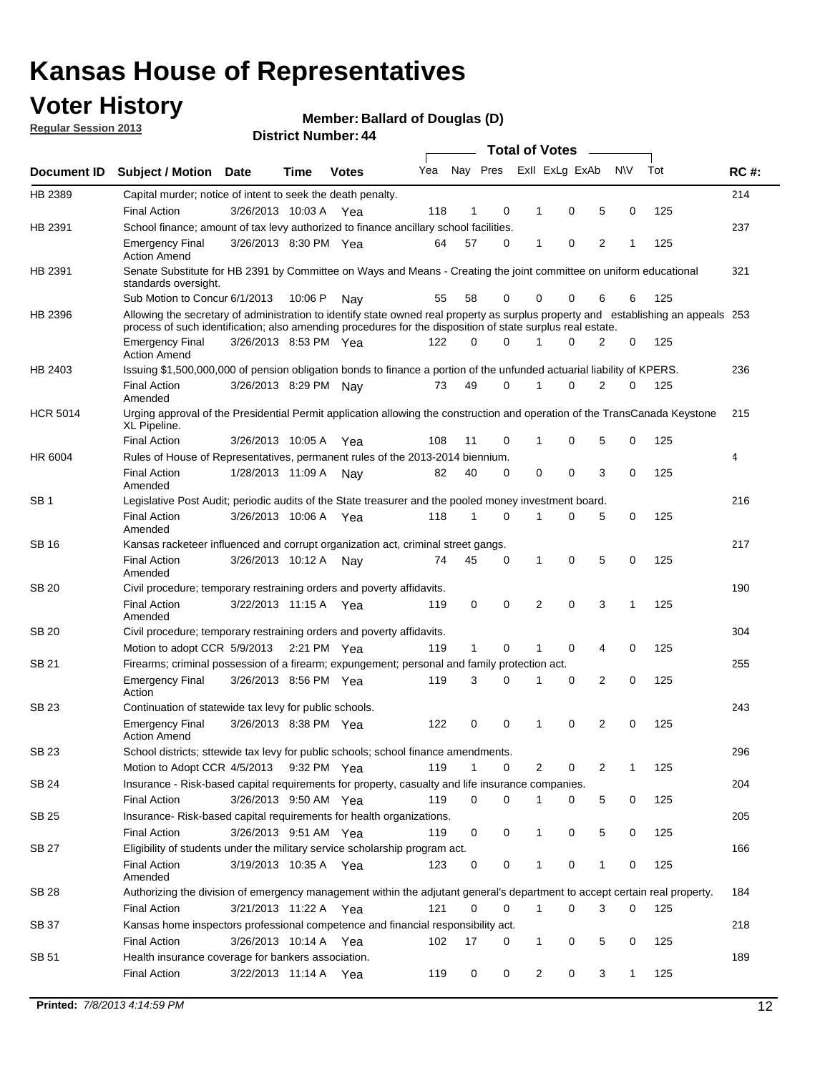### **Voter History**

**Member: Ballard of Douglas (D)** 

**Regular Session 2013**

|                 |                                                                                                                                                                                                                                                  |                       |         |              |     |              |   | <b>Total of Votes</b> |             |   |              |     |             |
|-----------------|--------------------------------------------------------------------------------------------------------------------------------------------------------------------------------------------------------------------------------------------------|-----------------------|---------|--------------|-----|--------------|---|-----------------------|-------------|---|--------------|-----|-------------|
| Document ID     | <b>Subject / Motion</b>                                                                                                                                                                                                                          | <b>Date</b>           | Time    | <b>Votes</b> | Yea | Nay Pres     |   | Exll ExLg ExAb        |             |   | <b>NV</b>    | Tot | <b>RC#:</b> |
| HB 2389         | Capital murder; notice of intent to seek the death penalty.                                                                                                                                                                                      |                       |         |              |     |              |   |                       |             |   |              |     | 214         |
|                 | <b>Final Action</b>                                                                                                                                                                                                                              | 3/26/2013 10:03 A     |         | Yea          | 118 | 1            | 0 | 1                     | 0           | 5 | 0            | 125 |             |
| HB 2391         | School finance; amount of tax levy authorized to finance ancillary school facilities.                                                                                                                                                            |                       |         |              |     |              |   |                       |             |   |              |     | 237         |
|                 | <b>Emergency Final</b><br><b>Action Amend</b>                                                                                                                                                                                                    | 3/26/2013 8:30 PM Yea |         |              | 64  | 57           | 0 | 1                     | 0           | 2 | 1            | 125 |             |
| HB 2391         | Senate Substitute for HB 2391 by Committee on Ways and Means - Creating the joint committee on uniform educational<br>standards oversight.                                                                                                       |                       |         |              |     |              |   |                       |             |   |              |     | 321         |
|                 | Sub Motion to Concur 6/1/2013                                                                                                                                                                                                                    |                       | 10:06 P | Nav          | 55  | 58           | 0 | 0                     | 0           | 6 | 6            | 125 |             |
| HB 2396         | Allowing the secretary of administration to identify state owned real property as surplus property and establishing an appeals 253<br>process of such identification; also amending procedures for the disposition of state surplus real estate. |                       |         |              |     |              |   |                       |             |   |              |     |             |
|                 | <b>Emergency Final</b><br><b>Action Amend</b>                                                                                                                                                                                                    | 3/26/2013 8:53 PM Yea |         |              | 122 | 0            | 0 | 1                     | 0           | 2 | 0            | 125 |             |
| HB 2403         | Issuing \$1,500,000,000 of pension obligation bonds to finance a portion of the unfunded actuarial liability of KPERS.                                                                                                                           |                       |         |              |     |              |   |                       |             |   |              |     | 236         |
|                 | <b>Final Action</b><br>Amended                                                                                                                                                                                                                   | 3/26/2013 8:29 PM Nay |         |              | 73  | 49           | 0 | 1                     | 0           | 2 | 0            | 125 |             |
| <b>HCR 5014</b> | Urging approval of the Presidential Permit application allowing the construction and operation of the TransCanada Keystone<br>XL Pipeline.                                                                                                       |                       |         |              |     |              |   |                       |             |   |              |     | 215         |
|                 | <b>Final Action</b>                                                                                                                                                                                                                              | 3/26/2013 10:05 A     |         | Yea          | 108 | 11           | 0 |                       | 0           | 5 | 0            | 125 |             |
| HR 6004         | Rules of House of Representatives, permanent rules of the 2013-2014 biennium.                                                                                                                                                                    |                       |         |              |     |              |   |                       |             |   |              |     | 4           |
|                 | <b>Final Action</b><br>Amended                                                                                                                                                                                                                   | 1/28/2013 11:09 A     |         | Nay          | 82  | 40           | 0 | 0                     | 0           | 3 | 0            | 125 |             |
| SB 1            | Legislative Post Audit; periodic audits of the State treasurer and the pooled money investment board.                                                                                                                                            |                       |         |              |     |              |   |                       |             |   |              |     | 216         |
|                 | <b>Final Action</b><br>Amended                                                                                                                                                                                                                   | 3/26/2013 10:06 A     |         | Yea          | 118 | $\mathbf{1}$ | 0 | 1                     | 0           | 5 | 0            | 125 |             |
| SB 16           | Kansas racketeer influenced and corrupt organization act, criminal street gangs.                                                                                                                                                                 |                       |         |              |     |              |   |                       |             |   |              |     | 217         |
|                 | <b>Final Action</b><br>Amended                                                                                                                                                                                                                   | 3/26/2013 10:12 A Nay |         |              | 74  | 45           | 0 | 1                     | $\mathbf 0$ | 5 | 0            | 125 |             |
| SB 20           | Civil procedure; temporary restraining orders and poverty affidavits.                                                                                                                                                                            |                       |         |              |     |              |   |                       |             |   |              |     | 190         |
|                 | <b>Final Action</b><br>Amended                                                                                                                                                                                                                   | 3/22/2013 11:15 A     |         | Yea          | 119 | 0            | 0 | 2                     | 0           | 3 | $\mathbf{1}$ | 125 |             |
| <b>SB 20</b>    | Civil procedure; temporary restraining orders and poverty affidavits.                                                                                                                                                                            |                       |         |              |     |              |   |                       |             |   |              |     | 304         |
|                 | Motion to adopt CCR 5/9/2013 2:21 PM Yea                                                                                                                                                                                                         |                       |         |              | 119 | 1            | 0 | 1                     | 0           | 4 | 0            | 125 |             |
| SB 21           | Firearms; criminal possession of a firearm; expungement; personal and family protection act.                                                                                                                                                     |                       |         |              |     |              |   |                       |             |   |              |     | 255         |
|                 | <b>Emergency Final</b><br>Action                                                                                                                                                                                                                 | 3/26/2013 8:56 PM Yea |         |              | 119 | 3            | 0 | 1                     | 0           | 2 | 0            | 125 |             |
| SB 23           | Continuation of statewide tax levy for public schools.                                                                                                                                                                                           |                       |         |              |     |              |   |                       |             |   |              |     | 243         |
|                 | <b>Emergency Final</b><br><b>Action Amend</b>                                                                                                                                                                                                    | 3/26/2013 8:38 PM Yea |         |              | 122 | 0            | 0 | 1                     | 0           | 2 | 0            | 125 |             |
| <b>SB 23</b>    | School districts; sttewide tax levy for public schools; school finance amendments.                                                                                                                                                               |                       |         |              |     |              |   |                       |             |   |              |     | 296         |
|                 | Motion to Adopt CCR 4/5/2013 9:32 PM Yea                                                                                                                                                                                                         |                       |         |              | 119 | $\mathbf{1}$ | 0 | 2                     | 0           | 2 | 1            | 125 |             |
| <b>SB 24</b>    | Insurance - Risk-based capital requirements for property, casualty and life insurance companies.                                                                                                                                                 |                       |         |              |     |              |   |                       |             |   |              |     | 204         |
|                 | <b>Final Action</b>                                                                                                                                                                                                                              | 3/26/2013 9:50 AM Yea |         |              | 119 | 0            | 0 | 1                     | 0           | 5 | 0            | 125 |             |
| SB 25           | Insurance-Risk-based capital requirements for health organizations.                                                                                                                                                                              |                       |         |              |     |              |   |                       |             |   |              |     | 205         |
|                 | <b>Final Action</b>                                                                                                                                                                                                                              | 3/26/2013 9:51 AM Yea |         |              | 119 | 0            | 0 | 1                     | 0           | 5 | 0            | 125 |             |
| SB 27           | Eligibility of students under the military service scholarship program act.                                                                                                                                                                      |                       |         |              |     |              |   |                       |             |   |              |     | 166         |
|                 | <b>Final Action</b><br>Amended                                                                                                                                                                                                                   | 3/19/2013 10:35 A Yea |         |              | 123 | 0            | 0 |                       | 0           | 1 | 0            | 125 |             |
| SB 28           | Authorizing the division of emergency management within the adjutant general's department to accept certain real property.                                                                                                                       |                       |         |              |     |              |   |                       |             |   |              |     | 184         |
|                 | <b>Final Action</b>                                                                                                                                                                                                                              | 3/21/2013 11:22 A Yea |         |              | 121 | $\Omega$     | 0 | 1                     | 0           | 3 | $\Omega$     | 125 |             |
| SB 37           | Kansas home inspectors professional competence and financial responsibility act.                                                                                                                                                                 |                       |         |              |     |              |   |                       |             |   |              |     | 218         |
|                 | <b>Final Action</b>                                                                                                                                                                                                                              | 3/26/2013 10:14 A Yea |         |              | 102 | 17           | 0 | 1                     | 0           | 5 | 0            | 125 |             |
| SB 51           | Health insurance coverage for bankers association.                                                                                                                                                                                               |                       |         |              |     |              |   |                       |             |   |              |     | 189         |
|                 | <b>Final Action</b>                                                                                                                                                                                                                              | 3/22/2013 11:14 A Yea |         |              | 119 | 0            | 0 | $\overline{c}$        | 0           | 3 | $\mathbf{1}$ | 125 |             |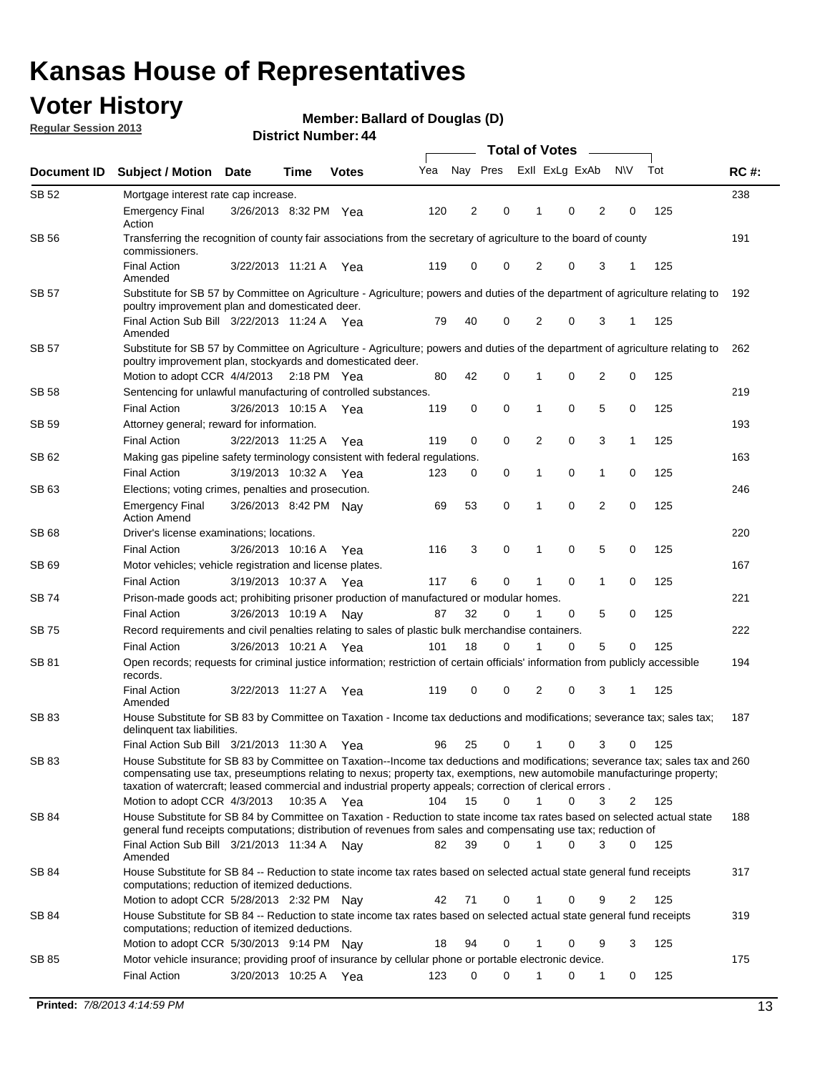### **Voter History**

**Member: Ballard of Douglas (D)** 

**Regular Session 2013**

| Document ID  | <b>Subject / Motion Date</b>                                                                                                                                                                                                                                                                                                                                            |                       | Time        | <b>Votes</b> | Yea | Nay Pres                |             | Exll ExLg ExAb |   |                | <b>NV</b>    | Tot | <b>RC#:</b> |
|--------------|-------------------------------------------------------------------------------------------------------------------------------------------------------------------------------------------------------------------------------------------------------------------------------------------------------------------------------------------------------------------------|-----------------------|-------------|--------------|-----|-------------------------|-------------|----------------|---|----------------|--------------|-----|-------------|
| <b>SB 52</b> | Mortgage interest rate cap increase.                                                                                                                                                                                                                                                                                                                                    |                       |             |              |     |                         |             |                |   |                |              |     | 238         |
|              | <b>Emergency Final</b><br>Action                                                                                                                                                                                                                                                                                                                                        | 3/26/2013 8:32 PM Yea |             |              | 120 | $\overline{\mathbf{c}}$ | 0           |                | 0 | $\overline{2}$ | 0            | 125 |             |
| SB 56        | Transferring the recognition of county fair associations from the secretary of agriculture to the board of county<br>commissioners.                                                                                                                                                                                                                                     |                       |             |              |     |                         |             |                |   |                |              |     | 191         |
|              | <b>Final Action</b><br>Amended                                                                                                                                                                                                                                                                                                                                          | 3/22/2013 11:21 A Yea |             |              | 119 | 0                       | 0           | 2              | 0 | 3              | 1            | 125 |             |
| <b>SB 57</b> | Substitute for SB 57 by Committee on Agriculture - Agriculture; powers and duties of the department of agriculture relating to<br>poultry improvement plan and domesticated deer.                                                                                                                                                                                       |                       |             |              |     |                         |             |                |   |                |              |     | 192         |
|              | Final Action Sub Bill 3/22/2013 11:24 A Yea<br>Amended                                                                                                                                                                                                                                                                                                                  |                       |             |              | 79  | 40                      | 0           | 2              | 0 | 3              | 1            | 125 |             |
| <b>SB 57</b> | Substitute for SB 57 by Committee on Agriculture - Agriculture; powers and duties of the department of agriculture relating to<br>poultry improvement plan, stockyards and domesticated deer.                                                                                                                                                                           |                       |             |              |     |                         |             |                |   |                |              |     | 262         |
|              | Motion to adopt CCR 4/4/2013 2:18 PM Yea                                                                                                                                                                                                                                                                                                                                |                       |             |              | 80  | 42                      | 0           | 1              | 0 | 2              | 0            | 125 |             |
| <b>SB 58</b> | Sentencing for unlawful manufacturing of controlled substances.                                                                                                                                                                                                                                                                                                         |                       |             |              |     |                         |             |                |   |                |              |     | 219         |
|              | <b>Final Action</b>                                                                                                                                                                                                                                                                                                                                                     | 3/26/2013 10:15 A     |             | Yea          | 119 | 0                       | $\mathbf 0$ | 1              | 0 | 5              | 0            | 125 |             |
| SB 59        | Attorney general; reward for information.                                                                                                                                                                                                                                                                                                                               |                       |             |              |     |                         |             |                |   |                |              |     | 193         |
|              | <b>Final Action</b>                                                                                                                                                                                                                                                                                                                                                     | 3/22/2013 11:25 A     |             | Yea          | 119 | 0                       | $\mathbf 0$ | 2              | 0 | 3              | $\mathbf{1}$ | 125 |             |
| SB 62        | Making gas pipeline safety terminology consistent with federal regulations.                                                                                                                                                                                                                                                                                             |                       |             |              |     |                         |             |                |   |                |              |     | 163         |
|              | <b>Final Action</b>                                                                                                                                                                                                                                                                                                                                                     | 3/19/2013 10:32 A     |             | Yea          | 123 | 0                       | $\mathbf 0$ | 1              | 0 | $\mathbf{1}$   | 0            | 125 |             |
| SB 63        | Elections; voting crimes, penalties and prosecution.                                                                                                                                                                                                                                                                                                                    |                       |             |              |     |                         |             |                |   |                |              |     | 246         |
|              | <b>Emergency Final</b><br><b>Action Amend</b>                                                                                                                                                                                                                                                                                                                           | 3/26/2013 8:42 PM Nav |             |              | 69  | 53                      | $\mathbf 0$ | 1              | 0 | $\overline{2}$ | 0            | 125 |             |
| SB 68        | Driver's license examinations; locations.                                                                                                                                                                                                                                                                                                                               |                       |             |              |     |                         |             |                |   |                |              |     | 220         |
| SB 69        | <b>Final Action</b>                                                                                                                                                                                                                                                                                                                                                     | 3/26/2013 10:16 A     |             | Yea          | 116 | 3                       | 0           | 1              | 0 | 5              | 0            | 125 |             |
|              | Motor vehicles; vehicle registration and license plates.                                                                                                                                                                                                                                                                                                                |                       |             |              |     |                         |             |                |   |                |              |     | 167         |
|              | <b>Final Action</b>                                                                                                                                                                                                                                                                                                                                                     | 3/19/2013 10:37 A     |             | Yea          | 117 | 6                       | 0           | 1              | 0 | 1              | 0            | 125 |             |
| SB 74        | Prison-made goods act; prohibiting prisoner production of manufactured or modular homes.                                                                                                                                                                                                                                                                                |                       |             |              |     |                         |             | -1             |   |                |              |     | 221         |
|              | <b>Final Action</b>                                                                                                                                                                                                                                                                                                                                                     | 3/26/2013 10:19 A     |             | Nay          | 87  | 32                      | 0           |                | 0 | 5              | 0            | 125 |             |
| SB 75        | Record requirements and civil penalties relating to sales of plastic bulk merchandise containers.                                                                                                                                                                                                                                                                       |                       |             |              |     | 18                      | 0           |                | 0 | 5              | 0            | 125 | 222         |
|              | <b>Final Action</b>                                                                                                                                                                                                                                                                                                                                                     | 3/26/2013 10:21 A     |             | Yea          | 101 |                         |             |                |   |                |              |     |             |
| SB 81        | Open records; requests for criminal justice information; restriction of certain officials' information from publicly accessible<br>records.<br><b>Final Action</b>                                                                                                                                                                                                      | 3/22/2013 11:27 A     |             | Yea          | 119 | 0                       | 0           | 2              | 0 | 3              | 1            | 125 | 194         |
|              | Amended                                                                                                                                                                                                                                                                                                                                                                 |                       |             |              |     |                         |             |                |   |                |              |     |             |
| SB 83        | House Substitute for SB 83 by Committee on Taxation - Income tax deductions and modifications; severance tax; sales tax;<br>delinquent tax liabilities.                                                                                                                                                                                                                 |                       |             |              |     |                         |             |                |   |                |              |     | 187         |
|              | Final Action Sub Bill 3/21/2013 11:30 A                                                                                                                                                                                                                                                                                                                                 |                       |             | Yea          | 96  | 25                      | 0           | $\mathbf{1}$   | 0 | 3              | 0            | 125 |             |
| SB 83        | House Substitute for SB 83 by Committee on Taxation--Income tax deductions and modifications; severance tax; sales tax and 260<br>compensating use tax, preseumptions relating to nexus; property tax, exemptions, new automobile manufacturinge property;<br>taxation of watercraft; leased commercial and industrial property appeals; correction of clerical errors. |                       |             |              | 104 |                         | 0           | 1              | 0 | 3              |              |     |             |
|              | Motion to adopt CCR 4/3/2013                                                                                                                                                                                                                                                                                                                                            |                       | 10:35 A Yea |              |     | 15                      |             |                |   |                | 2            | 125 |             |
| SB 84        | House Substitute for SB 84 by Committee on Taxation - Reduction to state income tax rates based on selected actual state<br>general fund receipts computations; distribution of revenues from sales and compensating use tax; reduction of<br>Final Action Sub Bill 3/21/2013 11:34 A Nay                                                                               |                       |             |              | 82  | 39                      | 0           | $\mathbf 1$    | 0 | 3              | 0            | 125 | 188         |
|              | Amended                                                                                                                                                                                                                                                                                                                                                                 |                       |             |              |     |                         |             |                |   |                |              |     |             |
| SB 84        | House Substitute for SB 84 -- Reduction to state income tax rates based on selected actual state general fund receipts<br>computations; reduction of itemized deductions.                                                                                                                                                                                               |                       |             |              |     |                         |             |                |   |                |              |     | 317         |
|              | Motion to adopt CCR 5/28/2013 2:32 PM Nav                                                                                                                                                                                                                                                                                                                               |                       |             |              | 42  | 71                      | 0           |                | 0 | 9              | 2            | 125 |             |
| SB 84        | House Substitute for SB 84 -- Reduction to state income tax rates based on selected actual state general fund receipts<br>computations; reduction of itemized deductions.                                                                                                                                                                                               |                       |             |              |     |                         |             |                |   |                |              |     | 319         |
|              | Motion to adopt CCR 5/30/2013 9:14 PM Nay                                                                                                                                                                                                                                                                                                                               |                       |             |              | 18  | 94                      | 0           | 1              | 0 | 9              | 3            | 125 |             |
| SB 85        | Motor vehicle insurance; providing proof of insurance by cellular phone or portable electronic device.                                                                                                                                                                                                                                                                  |                       |             |              |     |                         |             |                |   |                |              |     | 175         |
|              | <b>Final Action</b>                                                                                                                                                                                                                                                                                                                                                     | 3/20/2013 10:25 A Yea |             |              | 123 | 0                       | 0           | 1              | 0 | 1              | 0            | 125 |             |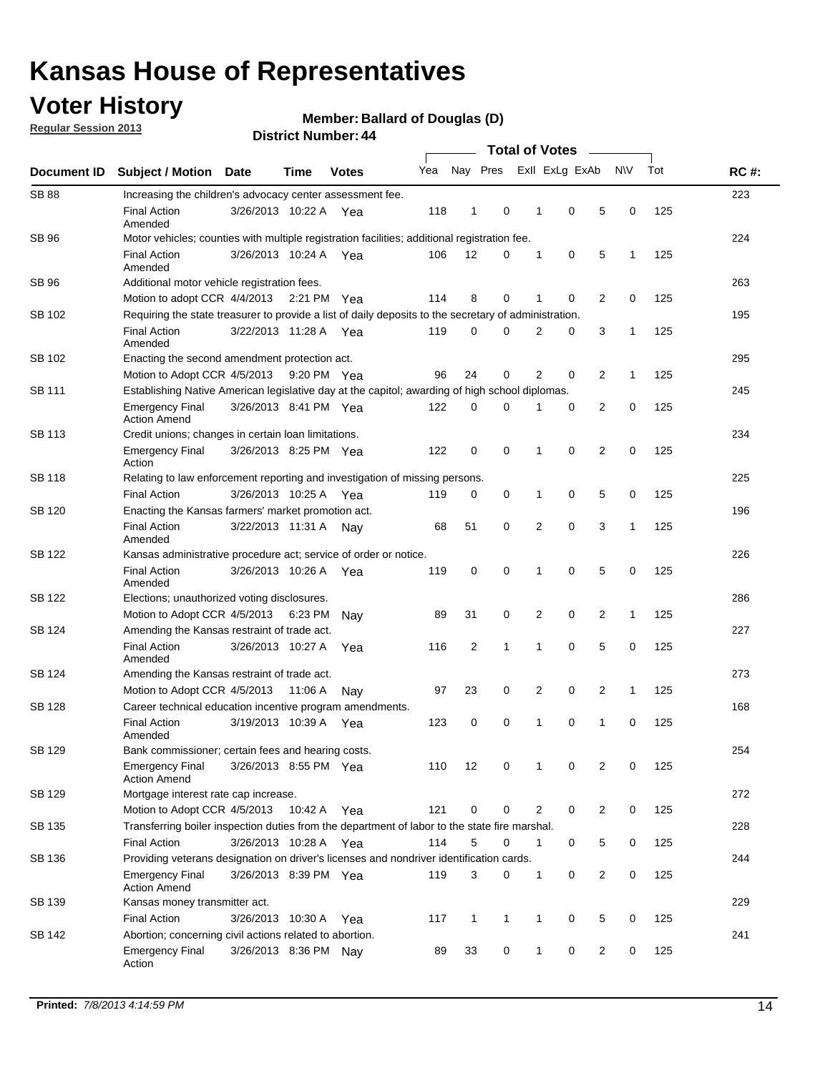### **Voter History**

**Member: Ballard of Douglas (D)** 

**Regular Session 2013**

|                    |                                                                                                       | י וסעוווטר ועווואסי   |             |              |     |              |              | <b>Total of Votes</b> |                |                |                |              |     |             |
|--------------------|-------------------------------------------------------------------------------------------------------|-----------------------|-------------|--------------|-----|--------------|--------------|-----------------------|----------------|----------------|----------------|--------------|-----|-------------|
| <b>Document ID</b> | <b>Subject / Motion</b>                                                                               | Date                  | Time        | <b>Votes</b> | Yea |              | Nay Pres     |                       |                | Exll ExLg ExAb |                | <b>NV</b>    | Tot | <b>RC#:</b> |
| <b>SB 88</b>       | Increasing the children's advocacy center assessment fee.                                             |                       |             |              |     |              |              |                       |                |                |                |              |     | 223         |
|                    | <b>Final Action</b><br>Amended                                                                        | 3/26/2013 10:22 A Yea |             |              | 118 | 1            | 0            |                       | 1              | $\mathbf 0$    | 5              | 0            | 125 |             |
| SB 96              | Motor vehicles; counties with multiple registration facilities; additional registration fee.          |                       |             |              |     |              |              |                       |                |                |                |              |     | 224         |
|                    | <b>Final Action</b><br>Amended                                                                        | 3/26/2013 10:24 A     |             | Yea          | 106 | 12           | 0            |                       | 1              | 0              | 5              | $\mathbf{1}$ | 125 |             |
| SB 96              | Additional motor vehicle registration fees.                                                           |                       |             |              |     |              |              |                       |                |                |                |              |     | 263         |
|                    | Motion to adopt CCR 4/4/2013 2:21 PM Yea                                                              |                       |             |              | 114 | 8            | 0            |                       | 1              | 0              | 2              | 0            | 125 |             |
| SB 102             | Requiring the state treasurer to provide a list of daily deposits to the secretary of administration. |                       |             |              |     |              |              |                       |                |                |                |              |     | 195         |
|                    | <b>Final Action</b><br>Amended                                                                        | 3/22/2013 11:28 A Yea |             |              | 119 | 0            | 0            |                       | 2              | 0              | 3              | 1            | 125 |             |
| SB 102             | Enacting the second amendment protection act.                                                         |                       |             |              |     |              |              |                       |                |                |                |              |     | 295         |
|                    | Motion to Adopt CCR 4/5/2013 9:20 PM Yea                                                              |                       |             |              | 96  | 24           | 0            |                       | $\overline{2}$ | 0              | 2              | $\mathbf{1}$ | 125 |             |
| <b>SB 111</b>      | Establishing Native American legislative day at the capitol; awarding of high school diplomas.        |                       |             |              |     |              |              |                       |                |                |                |              | 245 |             |
|                    | <b>Emergency Final</b><br><b>Action Amend</b>                                                         | 3/26/2013 8:41 PM Yea |             |              | 122 | 0            | 0            |                       | 1              | 0              | 2              | 0            | 125 |             |
| SB 113             | Credit unions; changes in certain loan limitations.                                                   |                       |             |              |     |              |              |                       |                |                |                |              |     | 234         |
|                    | <b>Emergency Final</b><br>Action                                                                      | 3/26/2013 8:25 PM Yea |             |              | 122 | 0            | 0            |                       | 1              | $\mathbf 0$    | $\overline{2}$ | $\mathbf 0$  | 125 |             |
| SB 118             | Relating to law enforcement reporting and investigation of missing persons.                           |                       |             |              |     |              |              |                       |                |                |                |              |     | 225         |
|                    | <b>Final Action</b>                                                                                   | 3/26/2013 10:25 A     |             | Yea          | 119 | 0            | 0            |                       | 1              | 0              | 5              | 0            | 125 |             |
| SB 120             | Enacting the Kansas farmers' market promotion act.                                                    |                       |             |              |     |              |              |                       |                |                |                |              |     | 196         |
|                    | <b>Final Action</b><br>Amended                                                                        | 3/22/2013 11:31 A     |             | Nav          | 68  | 51           | 0            |                       | $\overline{2}$ | 0              | 3              | 1            | 125 |             |
| SB 122             | Kansas administrative procedure act; service of order or notice.                                      |                       |             |              |     |              |              |                       |                |                |                | 226          |     |             |
|                    | <b>Final Action</b><br>Amended                                                                        | 3/26/2013 10:26 A Yea |             |              | 119 | $\mathbf 0$  | 0            |                       | 1              | 0              | 5              | 0            | 125 |             |
| <b>SB 122</b>      | Elections; unauthorized voting disclosures.                                                           |                       |             |              |     |              |              |                       |                |                |                |              | 286 |             |
|                    | Motion to Adopt CCR 4/5/2013                                                                          |                       | 6:23 PM     | Nav          | 89  | 31           | 0            |                       | 2              | 0              | $\overline{2}$ | 1            | 125 |             |
| SB 124             | Amending the Kansas restraint of trade act.                                                           |                       |             |              |     |              |              |                       |                |                |                |              |     | 227         |
|                    | <b>Final Action</b><br>Amended                                                                        | 3/26/2013 10:27 A     |             | Yea          | 116 | 2            | 1            |                       | 1              | $\mathbf 0$    | 5              | $\mathbf 0$  | 125 |             |
| SB 124             | Amending the Kansas restraint of trade act.                                                           |                       |             |              |     |              |              |                       |                |                |                |              |     | 273         |
|                    | Motion to Adopt CCR 4/5/2013                                                                          |                       | 11:06 A     | Nav          | 97  | 23           | 0            |                       | 2              | 0              | 2              | $\mathbf{1}$ | 125 |             |
| SB 128             | Career technical education incentive program amendments.                                              |                       |             |              |     |              |              |                       |                |                |                |              |     | 168         |
|                    | <b>Final Action</b><br>Amended                                                                        | 3/19/2013 10:39 A     |             | Yea          | 123 | 0            | 0            |                       | 1              | 0              | 1              | 0            | 125 |             |
| SB 129             | Bank commissioner; certain fees and hearing costs.                                                    |                       |             |              |     |              |              |                       |                |                |                |              |     | 254         |
|                    | <b>Emergency Final</b><br><b>Action Amend</b>                                                         | 3/26/2013 8:55 PM Yea |             |              | 110 | 12           | 0            |                       | 1              | 0              | 2              | 0            | 125 |             |
| SB 129             | Mortgage interest rate cap increase.                                                                  |                       |             |              |     |              |              |                       |                |                |                |              |     | 272         |
|                    | Motion to Adopt CCR 4/5/2013                                                                          |                       | 10:42 A Yea |              | 121 | 0            | 0            |                       | $\overline{2}$ | 0              | 2              | 0            | 125 |             |
| SB 135             | Transferring boiler inspection duties from the department of labor to the state fire marshal.         |                       |             |              |     |              |              |                       |                |                |                |              |     | 228         |
|                    | <b>Final Action</b>                                                                                   | 3/26/2013 10:28 A Yea |             |              | 114 | 5            | 0            |                       | $\mathbf{1}$   | 0              | 5              | 0            | 125 |             |
| SB 136             | Providing veterans designation on driver's licenses and nondriver identification cards.               |                       |             |              |     |              |              |                       |                |                |                |              |     | 244         |
|                    | <b>Emergency Final</b><br><b>Action Amend</b>                                                         | 3/26/2013 8:39 PM Yea |             |              | 119 | 3            | 0            |                       | $\mathbf{1}$   | 0              | 2              | 0            | 125 |             |
| SB 139             | Kansas money transmitter act.                                                                         |                       |             |              |     |              |              |                       |                |                |                |              |     | 229         |
|                    | <b>Final Action</b>                                                                                   | 3/26/2013 10:30 A Yea |             |              | 117 | $\mathbf{1}$ | $\mathbf{1}$ |                       | $\mathbf{1}$   | $\mathbf 0$    | 5              | 0            | 125 |             |
| SB 142             | Abortion; concerning civil actions related to abortion.                                               |                       |             |              |     |              |              |                       |                |                |                |              |     | 241         |
|                    | <b>Emergency Final</b><br>Action                                                                      | 3/26/2013 8:36 PM Nay |             |              | 89  | 33           | 0            |                       | $\mathbf{1}$   | 0              | 2              | 0            | 125 |             |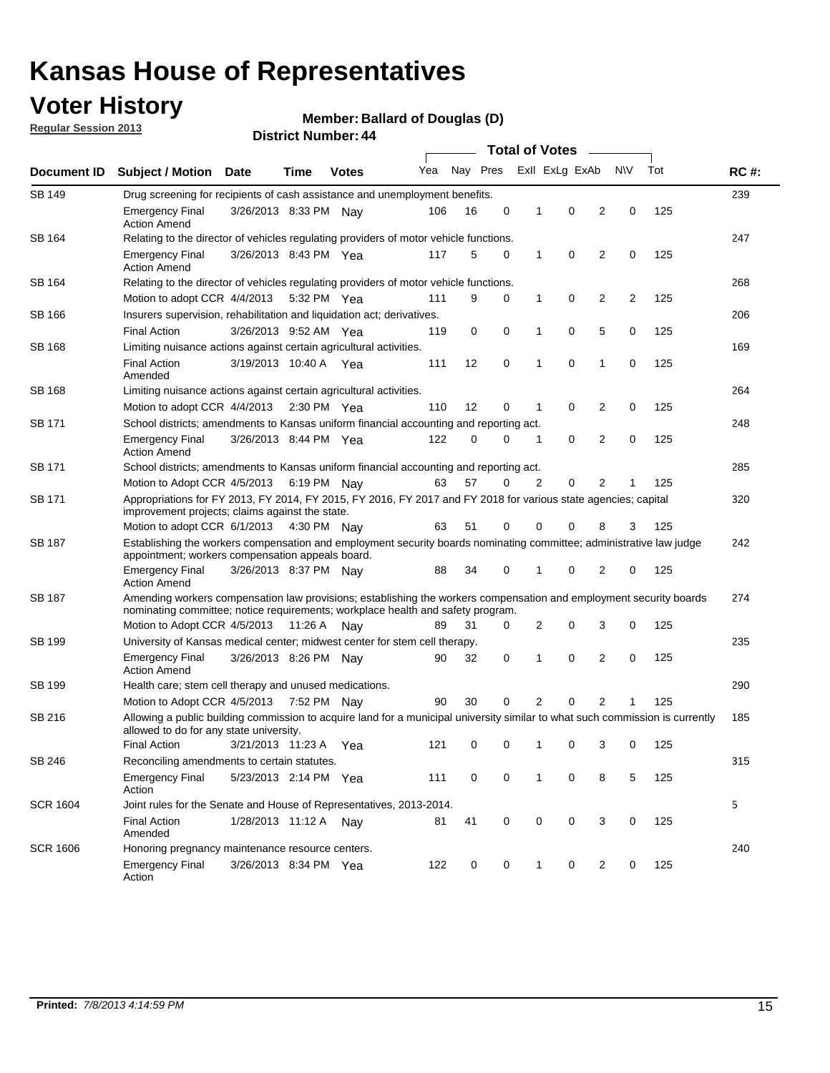### **Voter History**

**Member: Ballard of Douglas (D)** 

**Regular Session 2013**

|                    | ד . וסעווואיו ועוווסוש<br><b>Total of Votes</b>                                                                                                                                                       |                                                                           |             |              |     |                     |   |              |                |   |           |     |             |
|--------------------|-------------------------------------------------------------------------------------------------------------------------------------------------------------------------------------------------------|---------------------------------------------------------------------------|-------------|--------------|-----|---------------------|---|--------------|----------------|---|-----------|-----|-------------|
| <b>Document ID</b> | <b>Subject / Motion Date</b>                                                                                                                                                                          |                                                                           | <b>Time</b> | <b>Votes</b> | Yea | Nay Pres            |   |              | Exll ExLg ExAb |   | <b>NV</b> | Tot | <b>RC#:</b> |
| <b>SB 149</b>      | Drug screening for recipients of cash assistance and unemployment benefits.                                                                                                                           |                                                                           |             |              |     |                     |   |              |                |   |           |     | 239         |
|                    | <b>Emergency Final</b><br><b>Action Amend</b>                                                                                                                                                         | 3/26/2013 8:33 PM Nay                                                     |             |              | 106 | 16                  | 0 | 1            | 0              | 2 | 0         | 125 |             |
| SB 164             | Relating to the director of vehicles regulating providers of motor vehicle functions.                                                                                                                 |                                                                           |             |              |     |                     |   |              |                |   |           |     | 247         |
|                    | <b>Emergency Final</b><br><b>Action Amend</b>                                                                                                                                                         | 3/26/2013 8:43 PM Yea                                                     |             |              | 117 | 5                   | 0 | $\mathbf{1}$ | 0              | 2 | 0         | 125 |             |
| SB 164             | Relating to the director of vehicles regulating providers of motor vehicle functions.                                                                                                                 |                                                                           |             |              |     |                     |   |              |                |   |           |     | 268         |
|                    | Motion to adopt CCR 4/4/2013 5:32 PM Yea                                                                                                                                                              |                                                                           |             |              | 111 | 9                   | 0 | 1            | 0              | 2 | 2         | 125 |             |
| SB 166             | Insurers supervision, rehabilitation and liquidation act; derivatives.                                                                                                                                |                                                                           |             |              |     |                     |   |              |                |   |           |     | 206         |
|                    | <b>Final Action</b>                                                                                                                                                                                   | 3/26/2013 9:52 AM Yea                                                     |             |              | 119 | 0                   | 0 | 1            | 0              | 5 | 0         | 125 |             |
| SB 168             | Limiting nuisance actions against certain agricultural activities.                                                                                                                                    |                                                                           |             |              |     |                     |   |              |                |   |           |     | 169         |
|                    | <b>Final Action</b><br>Amended                                                                                                                                                                        | 3/19/2013 10:40 A Yea                                                     |             |              | 111 | 12                  | 0 | 1            | 0              | 1 | 0         | 125 |             |
| SB 168             |                                                                                                                                                                                                       | 264<br>Limiting nuisance actions against certain agricultural activities. |             |              |     |                     |   |              |                |   |           |     |             |
|                    | Motion to adopt CCR 4/4/2013 2:30 PM Yea                                                                                                                                                              |                                                                           |             |              | 110 | $12 \overline{ }$   | 0 | 1            | 0              | 2 | 0         | 125 |             |
| SB 171             | School districts; amendments to Kansas uniform financial accounting and reporting act.                                                                                                                |                                                                           |             |              |     |                     |   |              |                |   |           |     | 248         |
|                    | <b>Emergency Final</b><br><b>Action Amend</b>                                                                                                                                                         | 3/26/2013 8:44 PM Yea                                                     |             |              | 122 | $\Omega$            | 0 | 1            | 0              | 2 | 0         | 125 |             |
| <b>SB 171</b>      | School districts; amendments to Kansas uniform financial accounting and reporting act.                                                                                                                |                                                                           |             |              |     |                     |   |              |                |   |           | 285 |             |
|                    | Motion to Adopt CCR 4/5/2013                                                                                                                                                                          |                                                                           |             | 6:19 PM Nay  | 63  | 57                  | 0 | 2            | 0              | 2 | 1         | 125 |             |
| <b>SB 171</b>      | Appropriations for FY 2013, FY 2014, FY 2015, FY 2016, FY 2017 and FY 2018 for various state agencies; capital<br>improvement projects; claims against the state.                                     |                                                                           |             |              |     |                     |   |              |                |   | 320       |     |             |
|                    | Motion to adopt CCR 6/1/2013 4:30 PM Nay                                                                                                                                                              |                                                                           |             |              | 63  | 51                  | 0 | 0            | 0              | 8 | 3         | 125 |             |
| SB 187             | Establishing the workers compensation and employment security boards nominating committee; administrative law judge<br>appointment; workers compensation appeals board.                               |                                                                           |             |              |     |                     |   |              |                |   |           | 242 |             |
|                    | Emergency Final<br><b>Action Amend</b>                                                                                                                                                                | 3/26/2013 8:37 PM Nav                                                     |             |              | 88  | 34                  | 0 | 1            | 0              | 2 | 0         | 125 |             |
| SB 187             | Amending workers compensation law provisions; establishing the workers compensation and employment security boards<br>nominating committee; notice requirements; workplace health and safety program. |                                                                           |             |              |     |                     |   |              |                |   |           |     | 274         |
|                    | Motion to Adopt CCR 4/5/2013 11:26 A Nay                                                                                                                                                              |                                                                           |             |              | 89  | 31                  | 0 | 2            | 0              | 3 | 0         | 125 |             |
| SB 199             | University of Kansas medical center; midwest center for stem cell therapy.                                                                                                                            |                                                                           |             |              |     |                     |   |              |                |   |           |     | 235         |
|                    | <b>Emergency Final</b><br><b>Action Amend</b>                                                                                                                                                         | 3/26/2013 8:26 PM Nav                                                     |             |              | 90  | 32                  | 0 | 1            | 0              | 2 | 0         | 125 |             |
| SB 199             | Health care; stem cell therapy and unused medications.                                                                                                                                                |                                                                           |             |              |     |                     |   |              |                |   |           |     | 290         |
|                    | 30<br>0<br>2<br>0<br>2<br>125<br>Motion to Adopt CCR 4/5/2013 7:52 PM Nay<br>90                                                                                                                       |                                                                           |             |              |     |                     |   |              |                |   |           |     |             |
| SB 216             | Allowing a public building commission to acquire land for a municipal university similar to what such commission is currently<br>allowed to do for any state university.                              |                                                                           |             |              |     |                     |   |              |                |   |           |     | 185         |
|                    | Final Action 3/21/2013 11:23 A Yea                                                                                                                                                                    |                                                                           |             |              |     | 121 0 0 1 0 3 0 125 |   |              |                |   |           |     |             |
| SB 246             | Reconciling amendments to certain statutes.                                                                                                                                                           |                                                                           |             |              |     |                     |   |              |                |   |           |     | 315         |
|                    | <b>Emergency Final</b><br>Action                                                                                                                                                                      | 5/23/2013 2:14 PM Yea                                                     |             |              | 111 | 0                   | 0 | 1            | 0              | 8 | 5         | 125 |             |
| <b>SCR 1604</b>    | Joint rules for the Senate and House of Representatives, 2013-2014.                                                                                                                                   |                                                                           |             |              |     |                     |   |              |                |   |           |     | 5           |
|                    | <b>Final Action</b><br>Amended                                                                                                                                                                        | 1/28/2013 11:12 A Nay                                                     |             |              | 81  | 41                  | 0 | 0            | 0              | 3 | 0         | 125 |             |
| <b>SCR 1606</b>    | Honoring pregnancy maintenance resource centers.                                                                                                                                                      |                                                                           |             |              |     |                     |   |              |                |   |           | 240 |             |
|                    | <b>Emergency Final</b><br>Action                                                                                                                                                                      | 3/26/2013 8:34 PM Yea                                                     |             |              | 122 | 0                   | 0 | 1            | 0              | 2 | 0         | 125 |             |